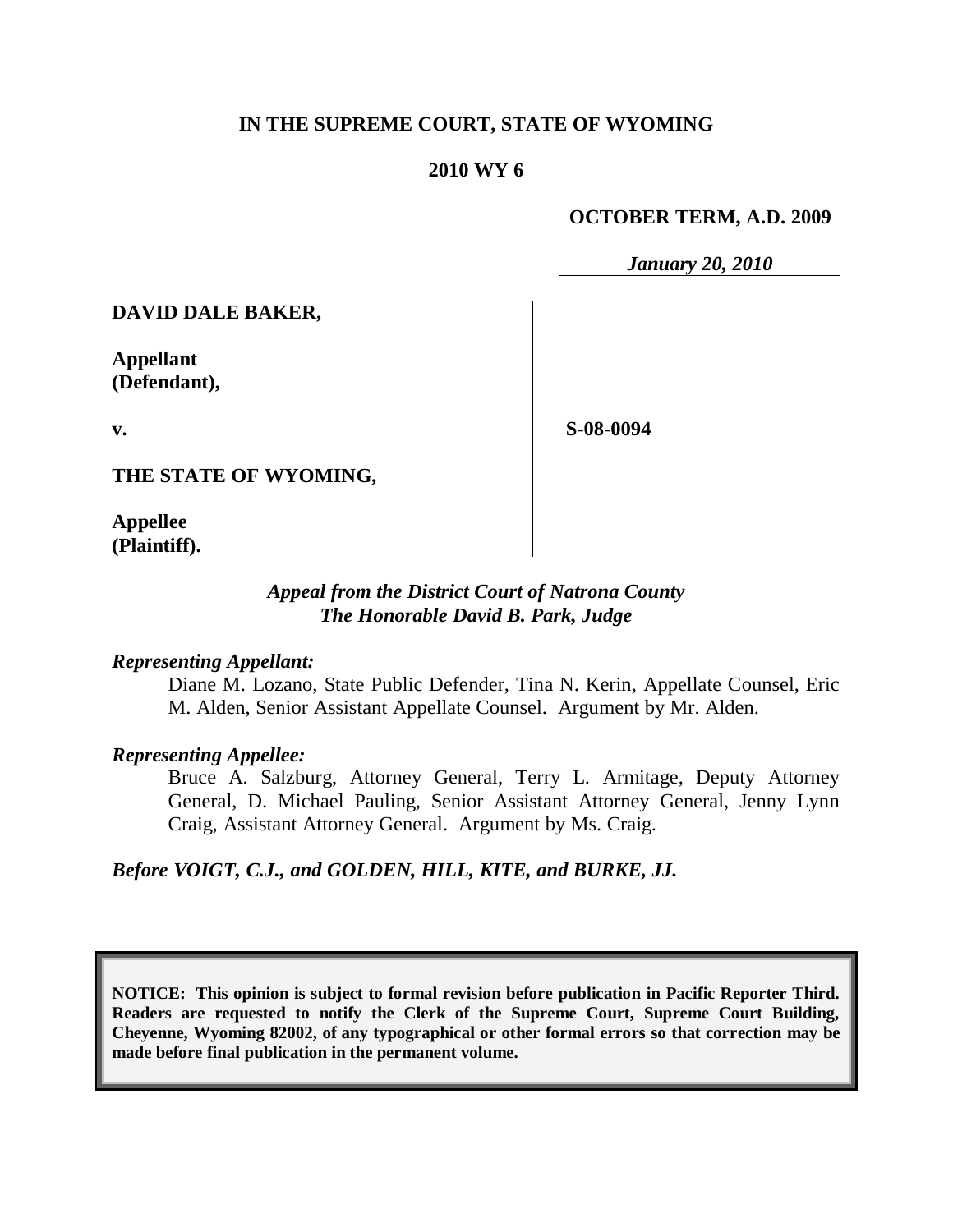## **IN THE SUPREME COURT, STATE OF WYOMING**

#### **2010 WY 6**

#### **OCTOBER TERM, A.D. 2009**

*January 20, 2010*

**DAVID DALE BAKER,**

**Appellant (Defendant),**

**S-08-0094**

**THE STATE OF WYOMING,**

**Appellee (Plaintiff).**

**v.**

## *Appeal from the District Court of Natrona County The Honorable David B. Park, Judge*

#### *Representing Appellant:*

Diane M. Lozano, State Public Defender, Tina N. Kerin, Appellate Counsel, Eric M. Alden, Senior Assistant Appellate Counsel. Argument by Mr. Alden.

#### *Representing Appellee:*

Bruce A. Salzburg, Attorney General, Terry L. Armitage, Deputy Attorney General, D. Michael Pauling, Senior Assistant Attorney General, Jenny Lynn Craig, Assistant Attorney General. Argument by Ms. Craig.

*Before VOIGT, C.J., and GOLDEN, HILL, KITE, and BURKE, JJ.*

**NOTICE: This opinion is subject to formal revision before publication in Pacific Reporter Third. Readers are requested to notify the Clerk of the Supreme Court, Supreme Court Building, Cheyenne, Wyoming 82002, of any typographical or other formal errors so that correction may be made before final publication in the permanent volume.**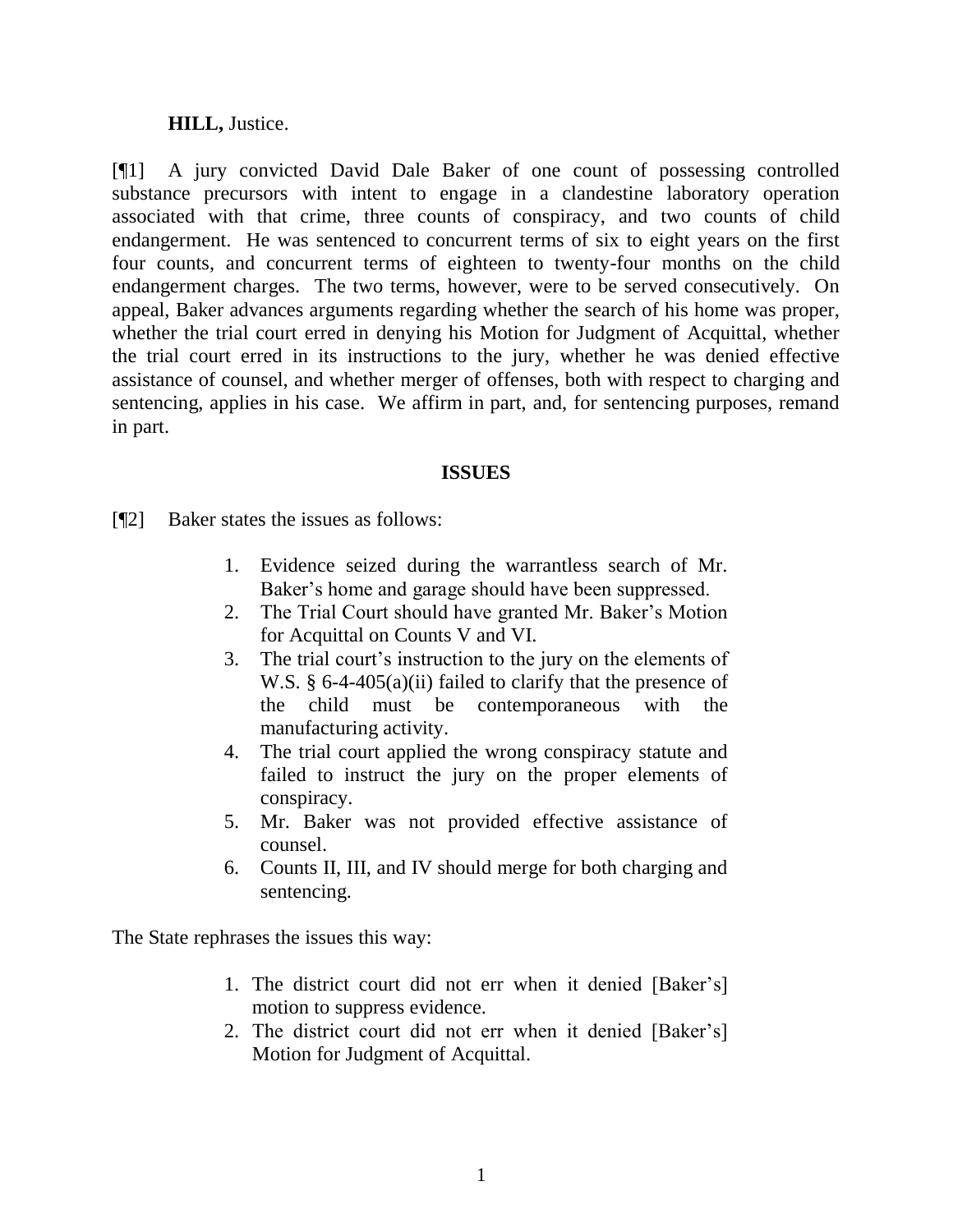## **HILL,** Justice.

[¶1] A jury convicted David Dale Baker of one count of possessing controlled substance precursors with intent to engage in a clandestine laboratory operation associated with that crime, three counts of conspiracy, and two counts of child endangerment. He was sentenced to concurrent terms of six to eight years on the first four counts, and concurrent terms of eighteen to twenty-four months on the child endangerment charges. The two terms, however, were to be served consecutively. On appeal, Baker advances arguments regarding whether the search of his home was proper, whether the trial court erred in denying his Motion for Judgment of Acquittal, whether the trial court erred in its instructions to the jury, whether he was denied effective assistance of counsel, and whether merger of offenses, both with respect to charging and sentencing, applies in his case. We affirm in part, and, for sentencing purposes, remand in part.

## **ISSUES**

[¶2] Baker states the issues as follows:

- 1. Evidence seized during the warrantless search of Mr. Baker's home and garage should have been suppressed.
- 2. The Trial Court should have granted Mr. Baker"s Motion for Acquittal on Counts V and VI.
- 3. The trial court's instruction to the jury on the elements of W.S. § 6-4-405(a)(ii) failed to clarify that the presence of the child must be contemporaneous with the manufacturing activity.
- 4. The trial court applied the wrong conspiracy statute and failed to instruct the jury on the proper elements of conspiracy.
- 5. Mr. Baker was not provided effective assistance of counsel.
- 6. Counts II, III, and IV should merge for both charging and sentencing.

The State rephrases the issues this way:

- 1. The district court did not err when it denied [Baker"s] motion to suppress evidence.
- 2. The district court did not err when it denied [Baker"s] Motion for Judgment of Acquittal.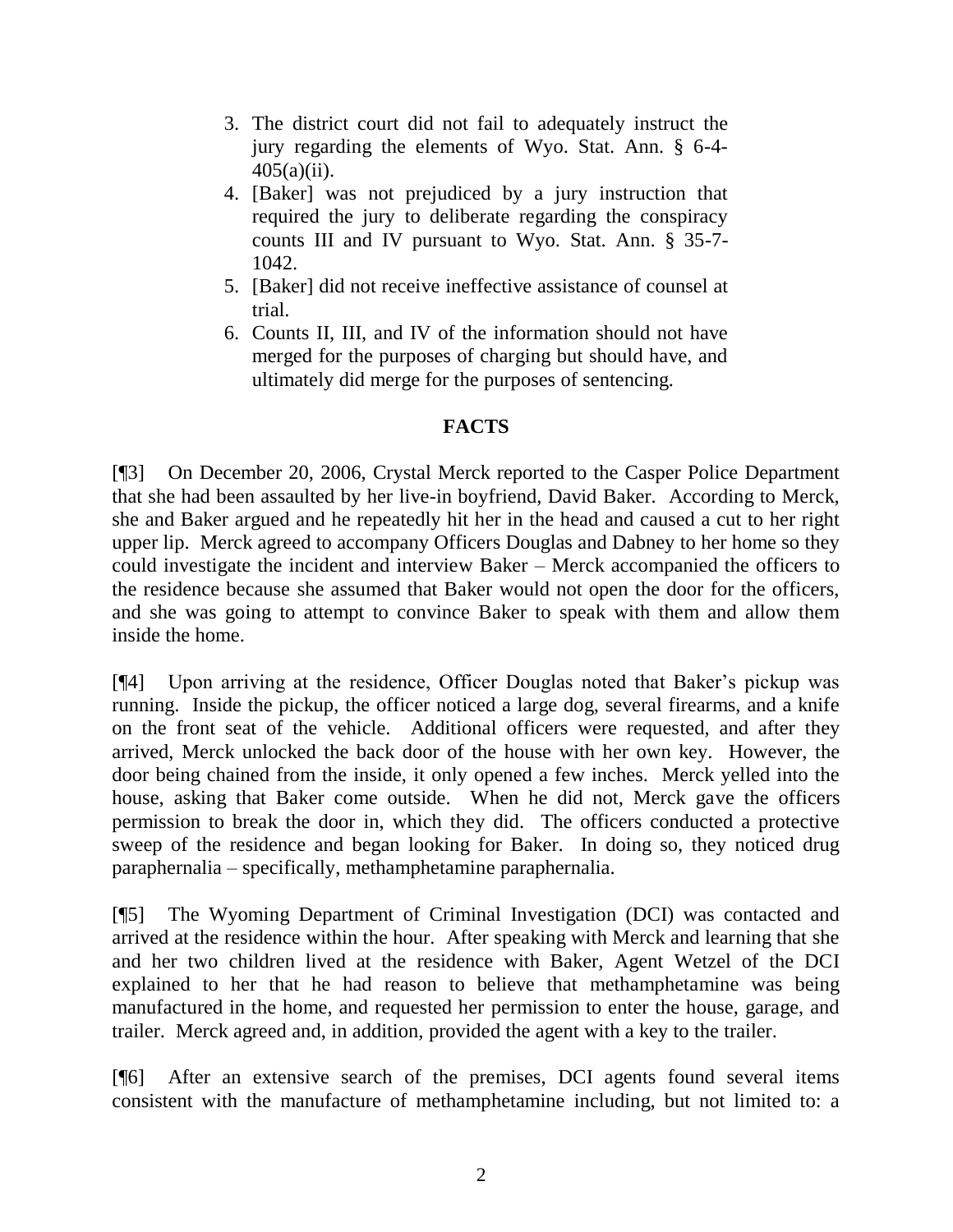- 3. The district court did not fail to adequately instruct the jury regarding the elements of Wyo. Stat. Ann. § 6-4- 405(a)(ii).
- 4. [Baker] was not prejudiced by a jury instruction that required the jury to deliberate regarding the conspiracy counts III and IV pursuant to Wyo. Stat. Ann. § 35-7- 1042.
- 5. [Baker] did not receive ineffective assistance of counsel at trial.
- 6. Counts II, III, and IV of the information should not have merged for the purposes of charging but should have, and ultimately did merge for the purposes of sentencing.

# **FACTS**

[¶3] On December 20, 2006, Crystal Merck reported to the Casper Police Department that she had been assaulted by her live-in boyfriend, David Baker. According to Merck, she and Baker argued and he repeatedly hit her in the head and caused a cut to her right upper lip. Merck agreed to accompany Officers Douglas and Dabney to her home so they could investigate the incident and interview Baker – Merck accompanied the officers to the residence because she assumed that Baker would not open the door for the officers, and she was going to attempt to convince Baker to speak with them and allow them inside the home.

[¶4] Upon arriving at the residence, Officer Douglas noted that Baker"s pickup was running. Inside the pickup, the officer noticed a large dog, several firearms, and a knife on the front seat of the vehicle. Additional officers were requested, and after they arrived, Merck unlocked the back door of the house with her own key. However, the door being chained from the inside, it only opened a few inches. Merck yelled into the house, asking that Baker come outside. When he did not, Merck gave the officers permission to break the door in, which they did. The officers conducted a protective sweep of the residence and began looking for Baker. In doing so, they noticed drug paraphernalia – specifically, methamphetamine paraphernalia.

[¶5] The Wyoming Department of Criminal Investigation (DCI) was contacted and arrived at the residence within the hour. After speaking with Merck and learning that she and her two children lived at the residence with Baker, Agent Wetzel of the DCI explained to her that he had reason to believe that methamphetamine was being manufactured in the home, and requested her permission to enter the house, garage, and trailer. Merck agreed and, in addition, provided the agent with a key to the trailer.

[¶6] After an extensive search of the premises, DCI agents found several items consistent with the manufacture of methamphetamine including, but not limited to: a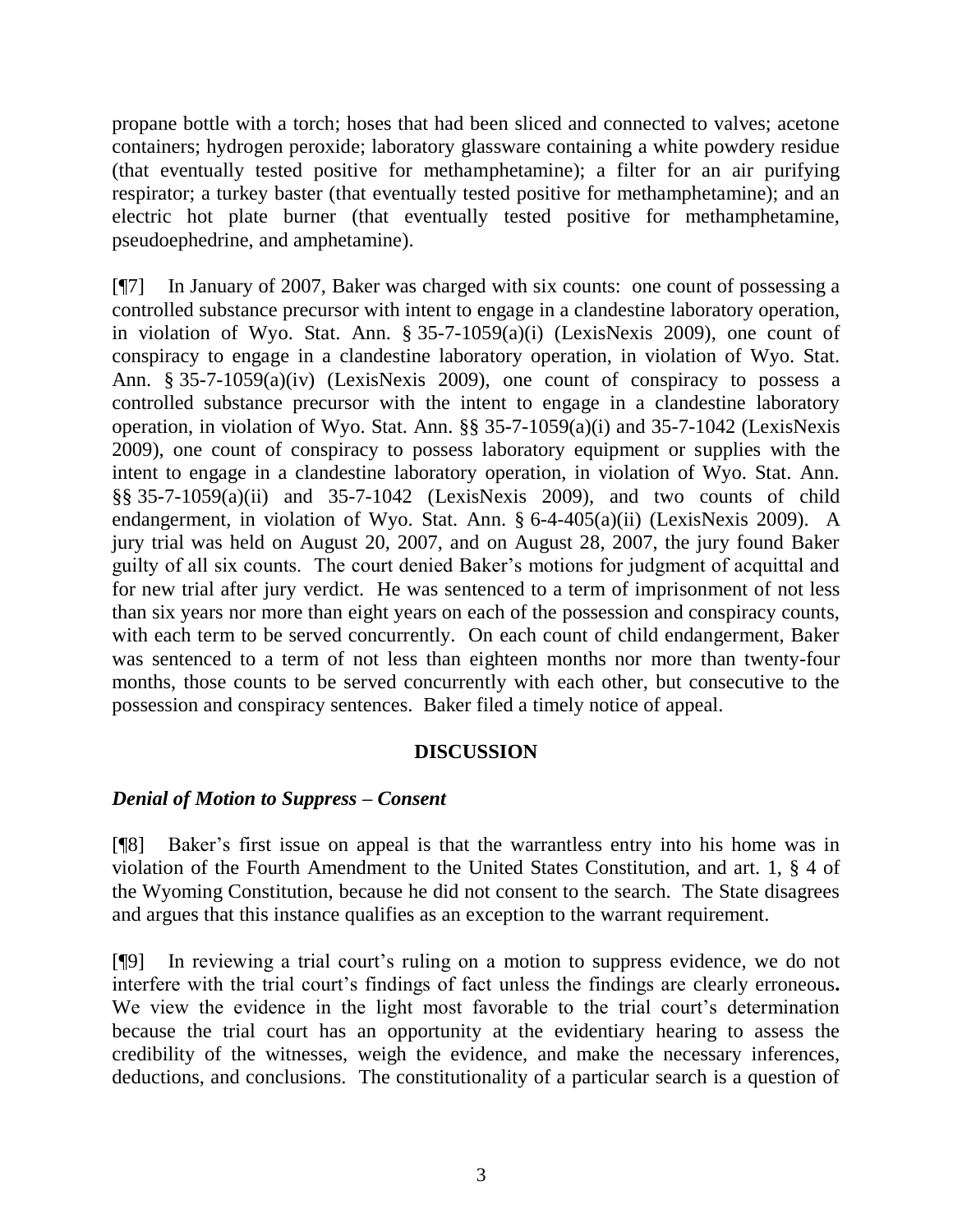propane bottle with a torch; hoses that had been sliced and connected to valves; acetone containers; hydrogen peroxide; laboratory glassware containing a white powdery residue (that eventually tested positive for methamphetamine); a filter for an air purifying respirator; a turkey baster (that eventually tested positive for methamphetamine); and an electric hot plate burner (that eventually tested positive for methamphetamine, pseudoephedrine, and amphetamine).

[¶7] In January of 2007, Baker was charged with six counts: one count of possessing a controlled substance precursor with intent to engage in a clandestine laboratory operation, in violation of Wyo. Stat. Ann. § 35-7-1059(a)(i) (LexisNexis 2009), one count of conspiracy to engage in a clandestine laboratory operation, in violation of Wyo. Stat. Ann. § 35-7-1059(a)(iv) (LexisNexis 2009), one count of conspiracy to possess a controlled substance precursor with the intent to engage in a clandestine laboratory operation, in violation of Wyo. Stat. Ann. §§ 35-7-1059(a)(i) and 35-7-1042 (LexisNexis 2009), one count of conspiracy to possess laboratory equipment or supplies with the intent to engage in a clandestine laboratory operation, in violation of Wyo. Stat. Ann. §§ 35-7-1059(a)(ii) and 35-7-1042 (LexisNexis 2009), and two counts of child endangerment, in violation of Wyo. Stat. Ann. § 6-4-405(a)(ii) (LexisNexis 2009). A jury trial was held on August 20, 2007, and on August 28, 2007, the jury found Baker guilty of all six counts. The court denied Baker"s motions for judgment of acquittal and for new trial after jury verdict. He was sentenced to a term of imprisonment of not less than six years nor more than eight years on each of the possession and conspiracy counts, with each term to be served concurrently. On each count of child endangerment, Baker was sentenced to a term of not less than eighteen months nor more than twenty-four months, those counts to be served concurrently with each other, but consecutive to the possession and conspiracy sentences. Baker filed a timely notice of appeal.

## **DISCUSSION**

# *Denial of Motion to Suppress – Consent*

[¶8] Baker"s first issue on appeal is that the warrantless entry into his home was in violation of the Fourth Amendment to the United States Constitution, and art. 1, § 4 of the Wyoming Constitution, because he did not consent to the search. The State disagrees and argues that this instance qualifies as an exception to the warrant requirement.

[¶9] In reviewing a trial court"s ruling on a motion to suppress evidence, we do not interfere with the trial court's findings of fact unless the findings are clearly erroneous. We view the evidence in the light most favorable to the trial court's determination because the trial court has an opportunity at the evidentiary hearing to assess the credibility of the witnesses, weigh the evidence, and make the necessary inferences, deductions, and conclusions. The constitutionality of a particular search is a question of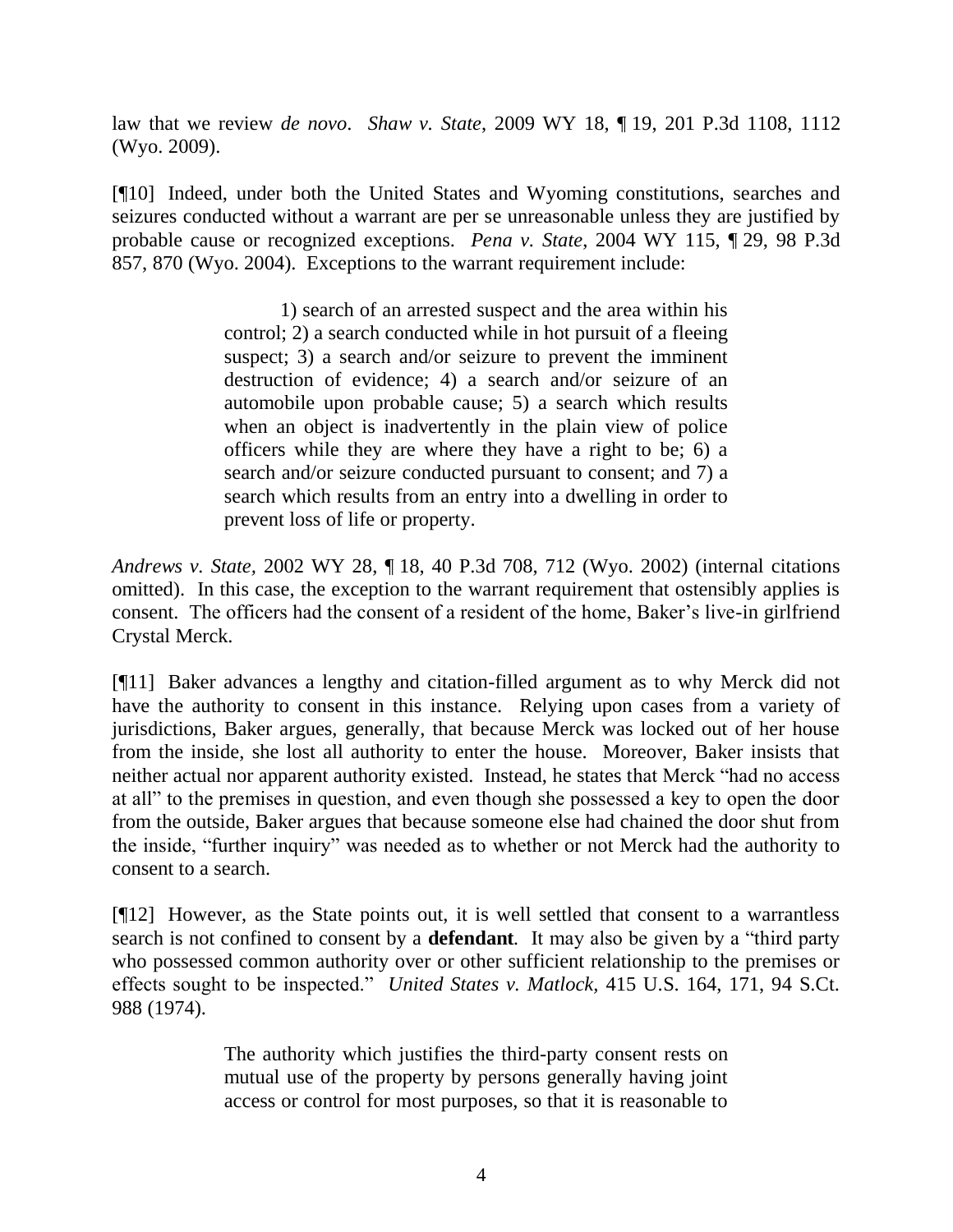law that we review *de novo*. *Shaw v. State*, 2009 WY 18, ¶ 19, 201 P.3d 1108, 1112 (Wyo. 2009).

[¶10] Indeed, under both the United States and Wyoming constitutions, searches and seizures conducted without a warrant are per se unreasonable unless they are justified by probable cause or recognized exceptions.*Pena v. State*, 2004 WY 115, ¶ 29, 98 P.3d 857, 870 (Wyo. 2004). Exceptions to the warrant requirement include:

> 1) search of an arrested suspect and the area within his control; 2) a search conducted while in hot pursuit of a fleeing suspect; 3) a search and/or seizure to prevent the imminent destruction of evidence; 4) a search and/or seizure of an automobile upon probable cause; 5) a search which results when an object is inadvertently in the plain view of police officers while they are where they have a right to be; 6) a search and/or seizure conducted pursuant to consent; and 7) a search which results from an entry into a dwelling in order to prevent loss of life or property.

*Andrews v. State,* 2002 WY 28, ¶ 18, 40 P.3d 708, 712 (Wyo. 2002) (internal citations omitted). In this case, the exception to the warrant requirement that ostensibly applies is consent. The officers had the consent of a resident of the home, Baker's live-in girlfriend Crystal Merck.

[¶11] Baker advances a lengthy and citation-filled argument as to why Merck did not have the authority to consent in this instance. Relying upon cases from a variety of jurisdictions, Baker argues, generally, that because Merck was locked out of her house from the inside, she lost all authority to enter the house. Moreover, Baker insists that neither actual nor apparent authority existed. Instead, he states that Merck "had no access at all" to the premises in question, and even though she possessed a key to open the door from the outside, Baker argues that because someone else had chained the door shut from the inside, "further inquiry" was needed as to whether or not Merck had the authority to consent to a search.

[¶12] However, as the State points out, it is well settled that consent to a warrantless search is not confined to consent by a **defendant***.* It may also be given by a "third party who possessed common authority over or other sufficient relationship to the premises or effects sought to be inspected." *United States v. Matlock,* 415 U.S. 164, 171, 94 S.Ct. 988 (1974).

> The authority which justifies the third-party consent rests on mutual use of the property by persons generally having joint access or control for most purposes, so that it is reasonable to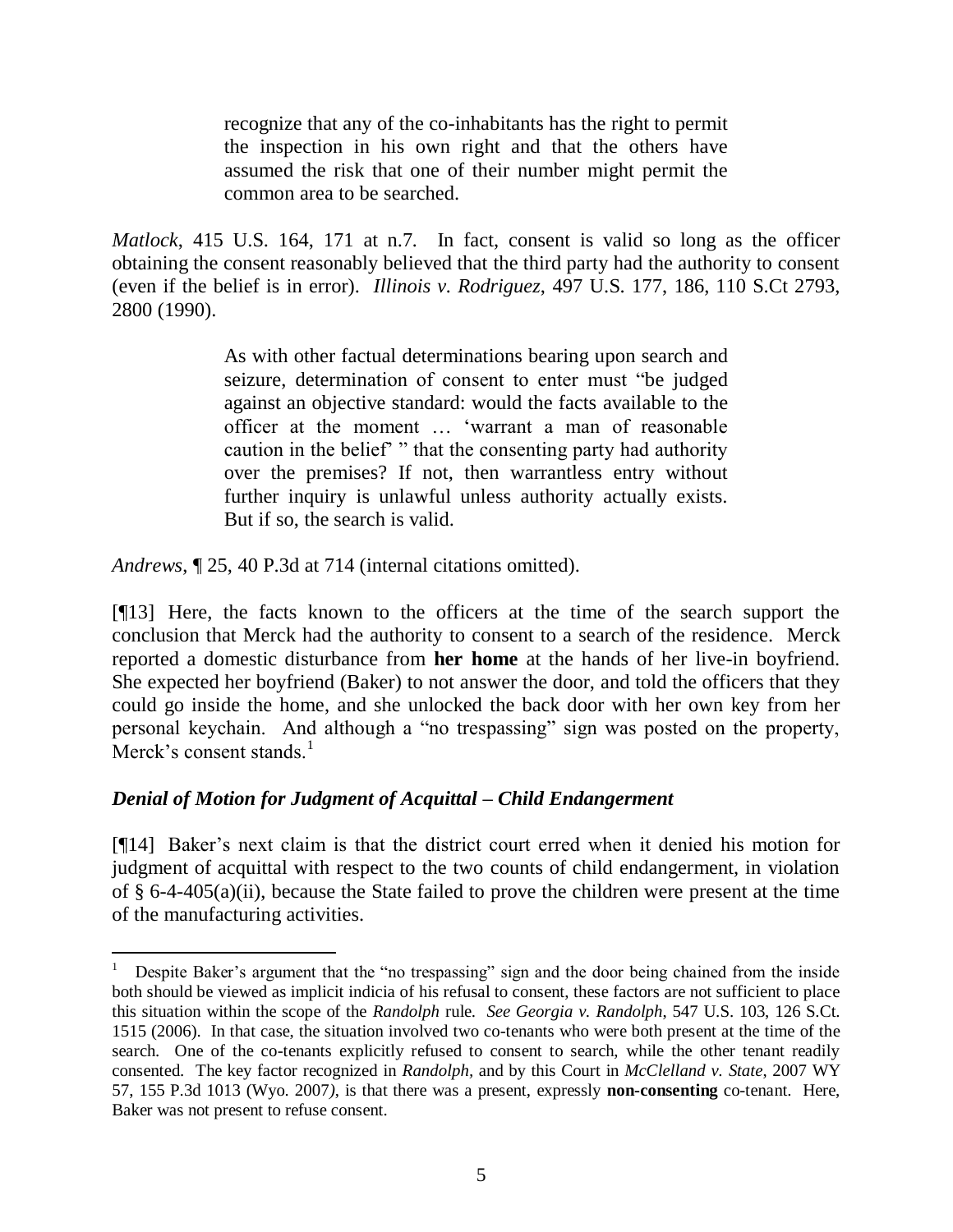recognize that any of the co-inhabitants has the right to permit the inspection in his own right and that the others have assumed the risk that one of their number might permit the common area to be searched.

*Matlock*, 415 U.S. 164, 171 at n.7*.* In fact, consent is valid so long as the officer obtaining the consent reasonably believed that the third party had the authority to consent (even if the belief is in error). *Illinois v. Rodriguez*, 497 U.S. 177, 186, 110 S.Ct 2793, 2800 (1990).

> As with other factual determinations bearing upon search and seizure, determination of consent to enter must "be judged against an objective standard: would the facts available to the officer at the moment … "warrant a man of reasonable caution in the belief" " that the consenting party had authority over the premises? If not, then warrantless entry without further inquiry is unlawful unless authority actually exists. But if so, the search is valid.

*Andrews*, ¶ 25, 40 P.3d at 714 (internal citations omitted).

[¶13] Here, the facts known to the officers at the time of the search support the conclusion that Merck had the authority to consent to a search of the residence. Merck reported a domestic disturbance from **her home** at the hands of her live-in boyfriend. She expected her boyfriend (Baker) to not answer the door, and told the officers that they could go inside the home, and she unlocked the back door with her own key from her personal keychain. And although a "no trespassing" sign was posted on the property, Merck's consent stands. $\frac{1}{1}$ 

# *Denial of Motion for Judgment of Acquittal – Child Endangerment*

 $\overline{a}$ 

[¶14] Baker"s next claim is that the district court erred when it denied his motion for judgment of acquittal with respect to the two counts of child endangerment, in violation of § 6-4-405(a)(ii), because the State failed to prove the children were present at the time of the manufacturing activities.

<sup>&</sup>lt;sup>1</sup> Despite Baker's argument that the "no trespassing" sign and the door being chained from the inside both should be viewed as implicit indicia of his refusal to consent, these factors are not sufficient to place this situation within the scope of the *Randolph* rule. *See Georgia v. Randolph*, 547 U.S. 103, 126 S.Ct. 1515 (2006). In that case, the situation involved two co-tenants who were both present at the time of the search. One of the co-tenants explicitly refused to consent to search, while the other tenant readily consented. The key factor recognized in *Randolph,* and by this Court in *McClelland v. State*, 2007 WY 57, 155 P.3d 1013 (Wyo. 2007*)*, is that there was a present, expressly **non-consenting** co-tenant. Here, Baker was not present to refuse consent.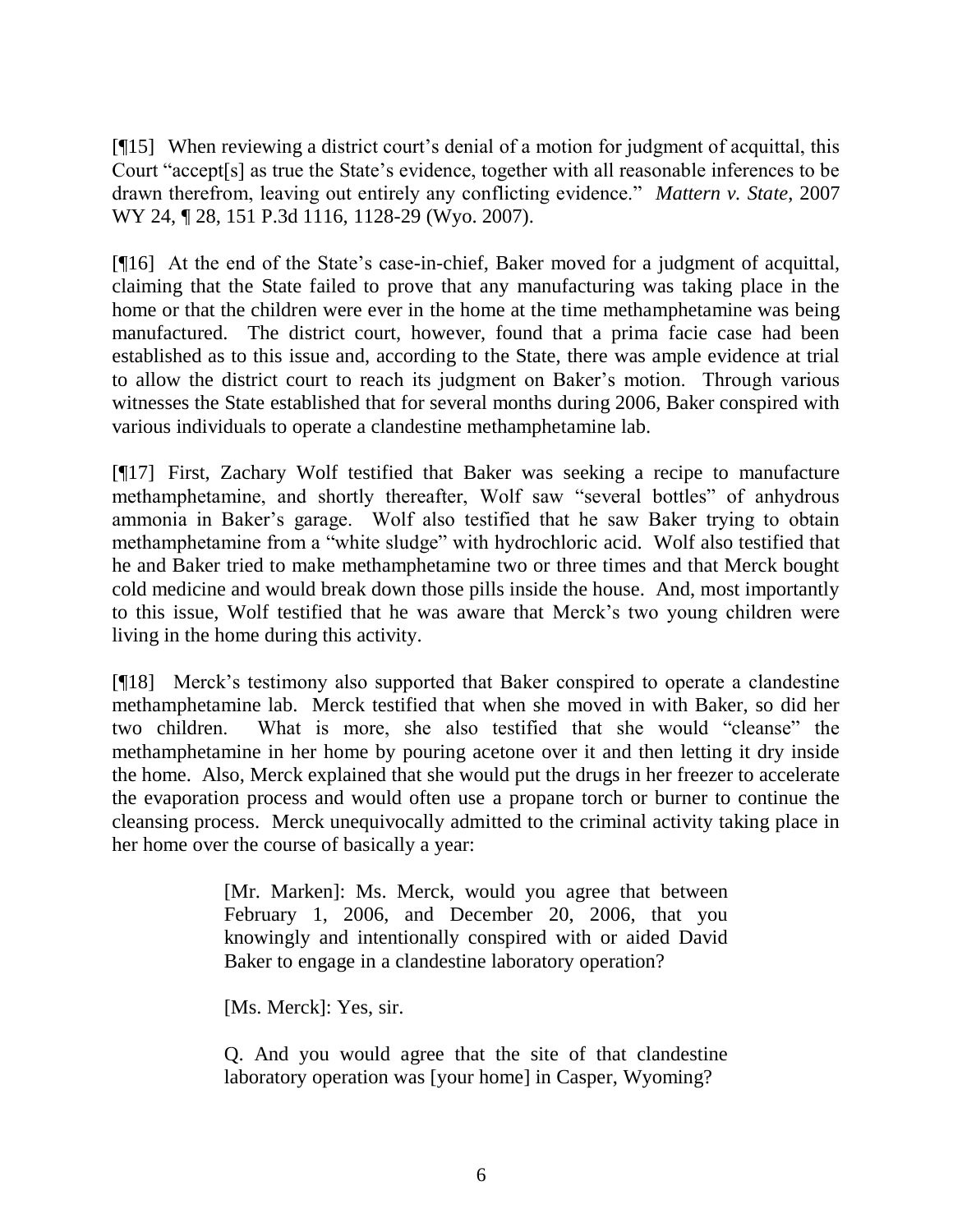[¶15] When reviewing a district court's denial of a motion for judgment of acquittal, this Court "accept[s] as true the State"s evidence, together with all reasonable inferences to be drawn therefrom, leaving out entirely any conflicting evidence." *Mattern v. State*, 2007 WY 24,  $\sqrt{28}$ , 151 P.3d 1116, 1128-29 (Wyo. 2007).

[¶16] At the end of the State's case-in-chief, Baker moved for a judgment of acquittal, claiming that the State failed to prove that any manufacturing was taking place in the home or that the children were ever in the home at the time methamphetamine was being manufactured. The district court, however, found that a prima facie case had been established as to this issue and, according to the State, there was ample evidence at trial to allow the district court to reach its judgment on Baker"s motion. Through various witnesses the State established that for several months during 2006, Baker conspired with various individuals to operate a clandestine methamphetamine lab.

[¶17] First, Zachary Wolf testified that Baker was seeking a recipe to manufacture methamphetamine, and shortly thereafter, Wolf saw "several bottles" of anhydrous ammonia in Baker"s garage. Wolf also testified that he saw Baker trying to obtain methamphetamine from a "white sludge" with hydrochloric acid. Wolf also testified that he and Baker tried to make methamphetamine two or three times and that Merck bought cold medicine and would break down those pills inside the house. And, most importantly to this issue, Wolf testified that he was aware that Merck"s two young children were living in the home during this activity.

[¶18] Merck"s testimony also supported that Baker conspired to operate a clandestine methamphetamine lab. Merck testified that when she moved in with Baker, so did her two children. What is more, she also testified that she would "cleanse" the methamphetamine in her home by pouring acetone over it and then letting it dry inside the home. Also, Merck explained that she would put the drugs in her freezer to accelerate the evaporation process and would often use a propane torch or burner to continue the cleansing process. Merck unequivocally admitted to the criminal activity taking place in her home over the course of basically a year:

> [Mr. Marken]: Ms. Merck, would you agree that between February 1, 2006, and December 20, 2006, that you knowingly and intentionally conspired with or aided David Baker to engage in a clandestine laboratory operation?

[Ms. Merck]: Yes, sir.

Q. And you would agree that the site of that clandestine laboratory operation was [your home] in Casper, Wyoming?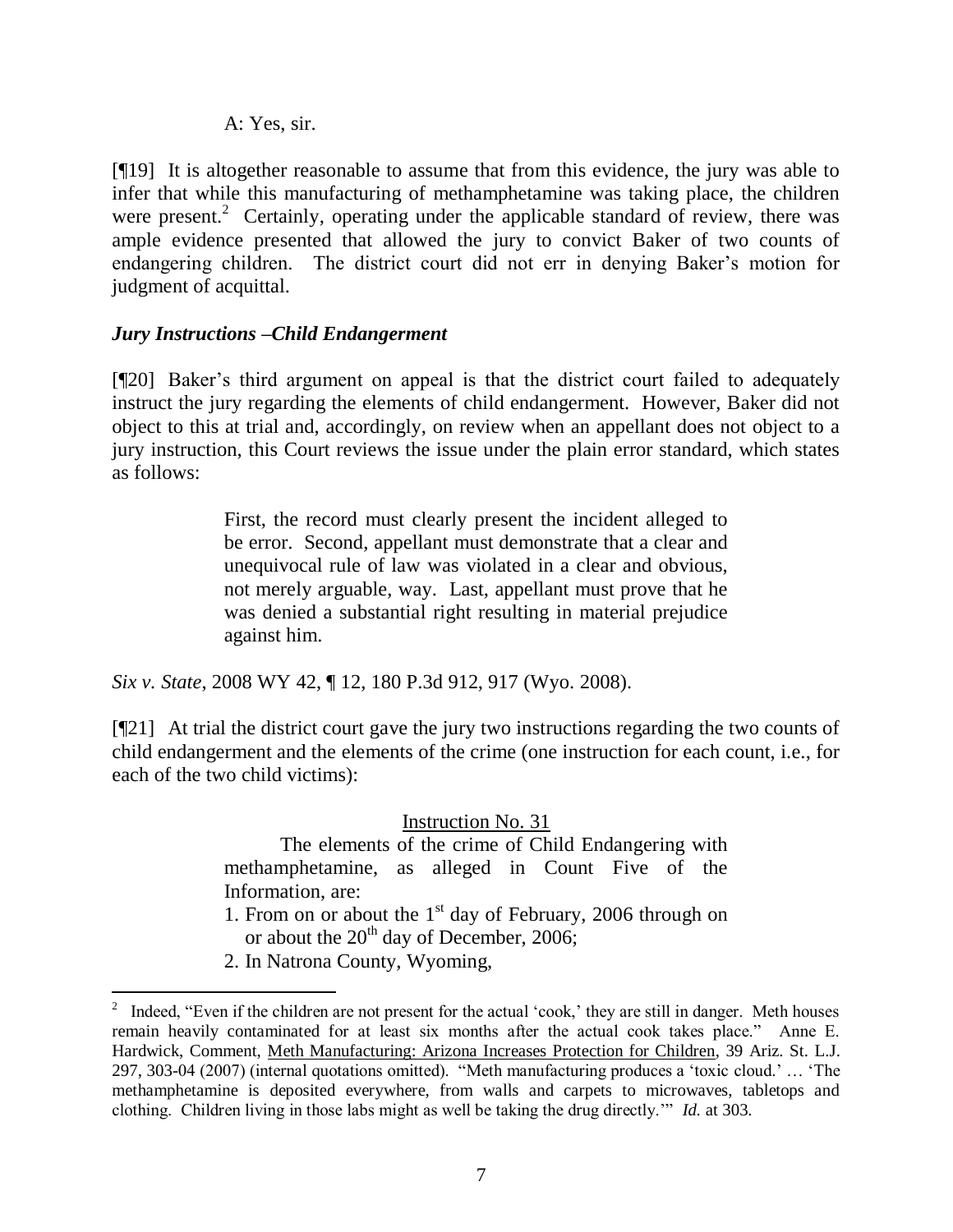## A: Yes, sir.

[¶19] It is altogether reasonable to assume that from this evidence, the jury was able to infer that while this manufacturing of methamphetamine was taking place, the children were present.<sup>2</sup> Certainly, operating under the applicable standard of review, there was ample evidence presented that allowed the jury to convict Baker of two counts of endangering children. The district court did not err in denying Baker"s motion for judgment of acquittal.

# *Jury Instructions –Child Endangerment*

[¶20] Baker's third argument on appeal is that the district court failed to adequately instruct the jury regarding the elements of child endangerment. However, Baker did not object to this at trial and, accordingly, on review when an appellant does not object to a jury instruction, this Court reviews the issue under the plain error standard, which states as follows:

> First, the record must clearly present the incident alleged to be error. Second, appellant must demonstrate that a clear and unequivocal rule of law was violated in a clear and obvious, not merely arguable, way. Last, appellant must prove that he was denied a substantial right resulting in material prejudice against him.

*Six v. State*, 2008 WY 42, ¶ 12, 180 P.3d 912, 917 (Wyo. 2008).

[¶21] At trial the district court gave the jury two instructions regarding the two counts of child endangerment and the elements of the crime (one instruction for each count, i.e., for each of the two child victims):

Instruction No. 31

The elements of the crime of Child Endangering with methamphetamine, as alleged in Count Five of the Information, are:

- 1. From on or about the  $1<sup>st</sup>$  day of February, 2006 through on or about the  $20<sup>th</sup>$  day of December, 2006;
- 2. In Natrona County, Wyoming,

 $\overline{a}$ 

<sup>2</sup> Indeed, "Even if the children are not present for the actual "cook," they are still in danger. Meth houses remain heavily contaminated for at least six months after the actual cook takes place." Anne E. Hardwick, Comment, Meth Manufacturing: Arizona Increases Protection for Children, 39 Ariz. St. L.J. 297, 303-04 (2007) (internal quotations omitted). "Meth manufacturing produces a "toxic cloud." … "The methamphetamine is deposited everywhere, from walls and carpets to microwaves, tabletops and clothing. Children living in those labs might as well be taking the drug directly."" *Id.* at 303.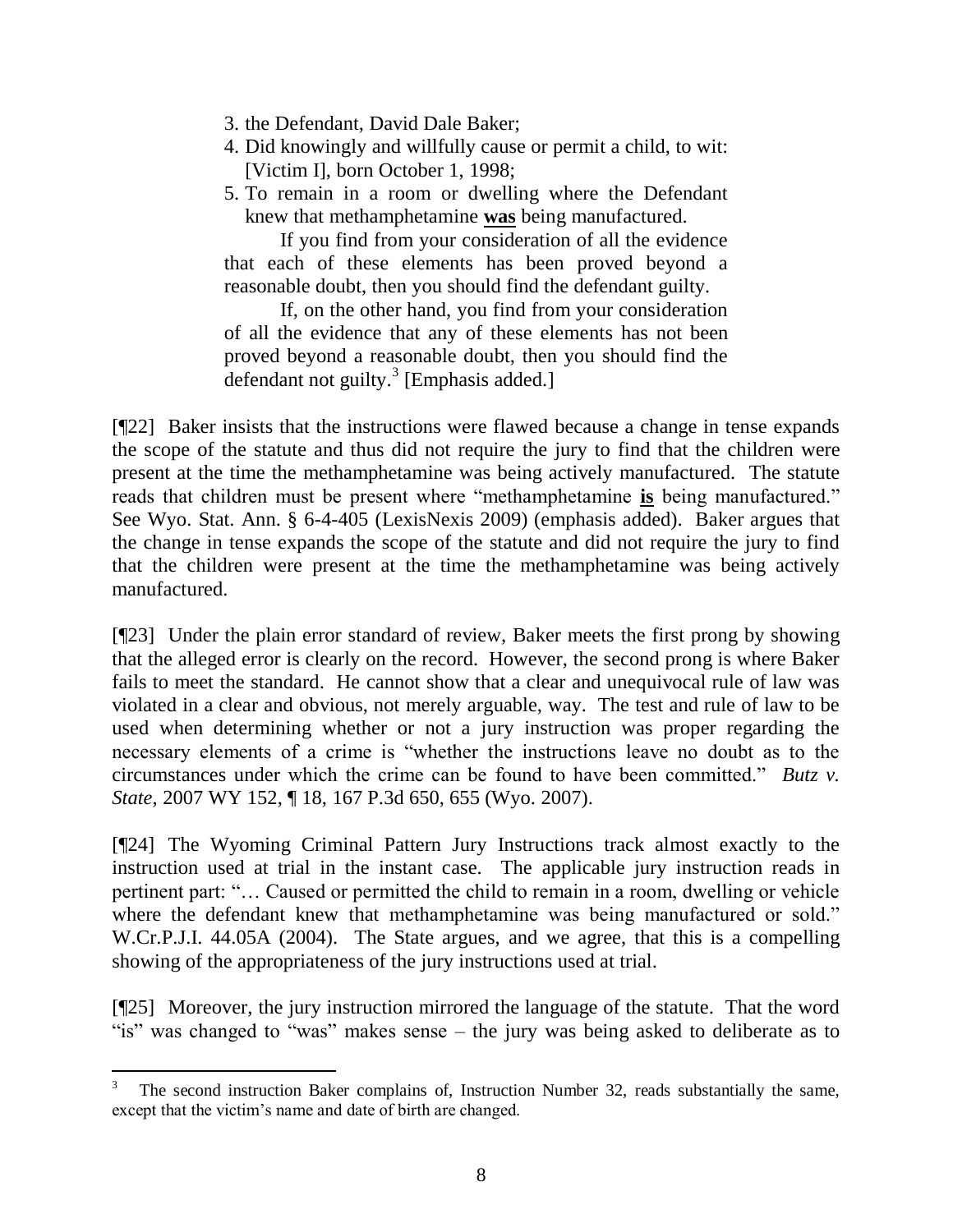- 3. the Defendant, David Dale Baker;
- 4. Did knowingly and willfully cause or permit a child, to wit: [Victim I], born October 1, 1998;
- 5. To remain in a room or dwelling where the Defendant knew that methamphetamine **was** being manufactured.

If you find from your consideration of all the evidence that each of these elements has been proved beyond a reasonable doubt, then you should find the defendant guilty.

If, on the other hand, you find from your consideration of all the evidence that any of these elements has not been proved beyond a reasonable doubt, then you should find the defendant not guilty.<sup>3</sup> [Emphasis added.]

[¶22] Baker insists that the instructions were flawed because a change in tense expands the scope of the statute and thus did not require the jury to find that the children were present at the time the methamphetamine was being actively manufactured. The statute reads that children must be present where "methamphetamine **is** being manufactured." See Wyo. Stat. Ann. § 6-4-405 (LexisNexis 2009) (emphasis added). Baker argues that the change in tense expands the scope of the statute and did not require the jury to find that the children were present at the time the methamphetamine was being actively manufactured.

[¶23] Under the plain error standard of review, Baker meets the first prong by showing that the alleged error is clearly on the record. However, the second prong is where Baker fails to meet the standard. He cannot show that a clear and unequivocal rule of law was violated in a clear and obvious, not merely arguable, way. The test and rule of law to be used when determining whether or not a jury instruction was proper regarding the necessary elements of a crime is "whether the instructions leave no doubt as to the circumstances under which the crime can be found to have been committed." *Butz v. State*, 2007 WY 152, ¶ 18, 167 P.3d 650, 655 (Wyo. 2007).

[¶24] The Wyoming Criminal Pattern Jury Instructions track almost exactly to the instruction used at trial in the instant case. The applicable jury instruction reads in pertinent part: "… Caused or permitted the child to remain in a room, dwelling or vehicle where the defendant knew that methamphetamine was being manufactured or sold." W.Cr.P.J.I. 44.05A (2004). The State argues, and we agree, that this is a compelling showing of the appropriateness of the jury instructions used at trial.

[¶25] Moreover, the jury instruction mirrored the language of the statute. That the word "is" was changed to "was" makes sense – the jury was being asked to deliberate as to

 $\overline{a}$ 

<sup>3</sup> The second instruction Baker complains of, Instruction Number 32, reads substantially the same, except that the victim's name and date of birth are changed.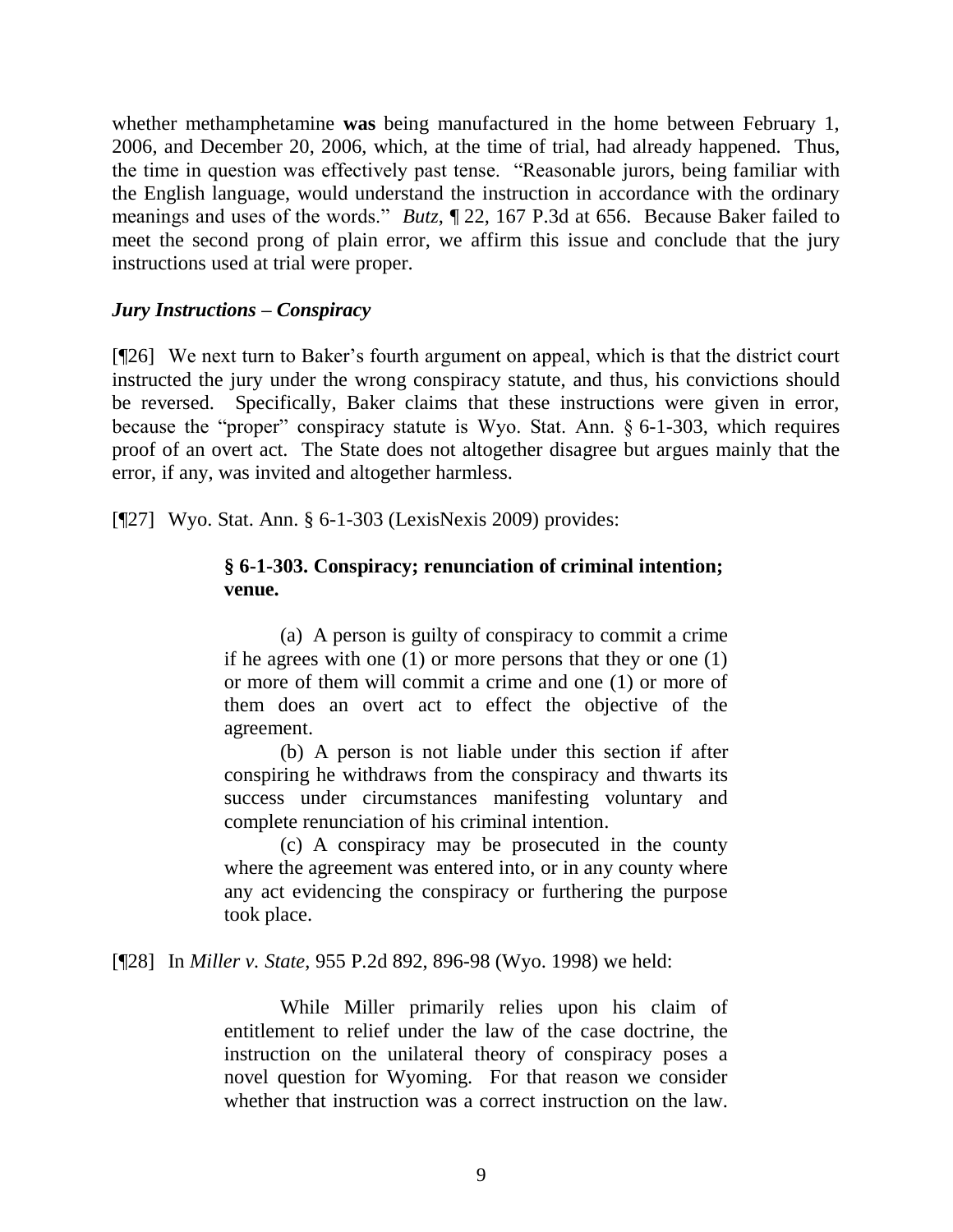whether methamphetamine **was** being manufactured in the home between February 1, 2006, and December 20, 2006, which, at the time of trial, had already happened. Thus, the time in question was effectively past tense. "Reasonable jurors, being familiar with the English language, would understand the instruction in accordance with the ordinary meanings and uses of the words." *Butz*, ¶ 22, 167 P.3d at 656. Because Baker failed to meet the second prong of plain error, we affirm this issue and conclude that the jury instructions used at trial were proper.

## *Jury Instructions – Conspiracy*

[¶26] We next turn to Baker's fourth argument on appeal, which is that the district court instructed the jury under the wrong conspiracy statute, and thus, his convictions should be reversed. Specifically, Baker claims that these instructions were given in error, because the "proper" conspiracy statute is Wyo. Stat. Ann. § 6-1-303, which requires proof of an overt act. The State does not altogether disagree but argues mainly that the error, if any, was invited and altogether harmless.

[¶27] Wyo. Stat. Ann. § 6-1-303 (LexisNexis 2009) provides:

# **§ 6-1-303. Conspiracy; renunciation of criminal intention; venue.**

(a) A person is guilty of conspiracy to commit a crime if he agrees with one (1) or more persons that they or one (1) or more of them will commit a crime and one (1) or more of them does an overt act to effect the objective of the agreement.

(b) A person is not liable under this section if after conspiring he withdraws from the conspiracy and thwarts its success under circumstances manifesting voluntary and complete renunciation of his criminal intention.

(c) A conspiracy may be prosecuted in the county where the agreement was entered into, or in any county where any act evidencing the conspiracy or furthering the purpose took place.

[¶28] In *Miller v. State*, 955 P.2d 892, 896-98 (Wyo. 1998) we held:

While Miller primarily relies upon his claim of entitlement to relief under the law of the case doctrine, the instruction on the unilateral theory of conspiracy poses a novel question for Wyoming. For that reason we consider whether that instruction was a correct instruction on the law.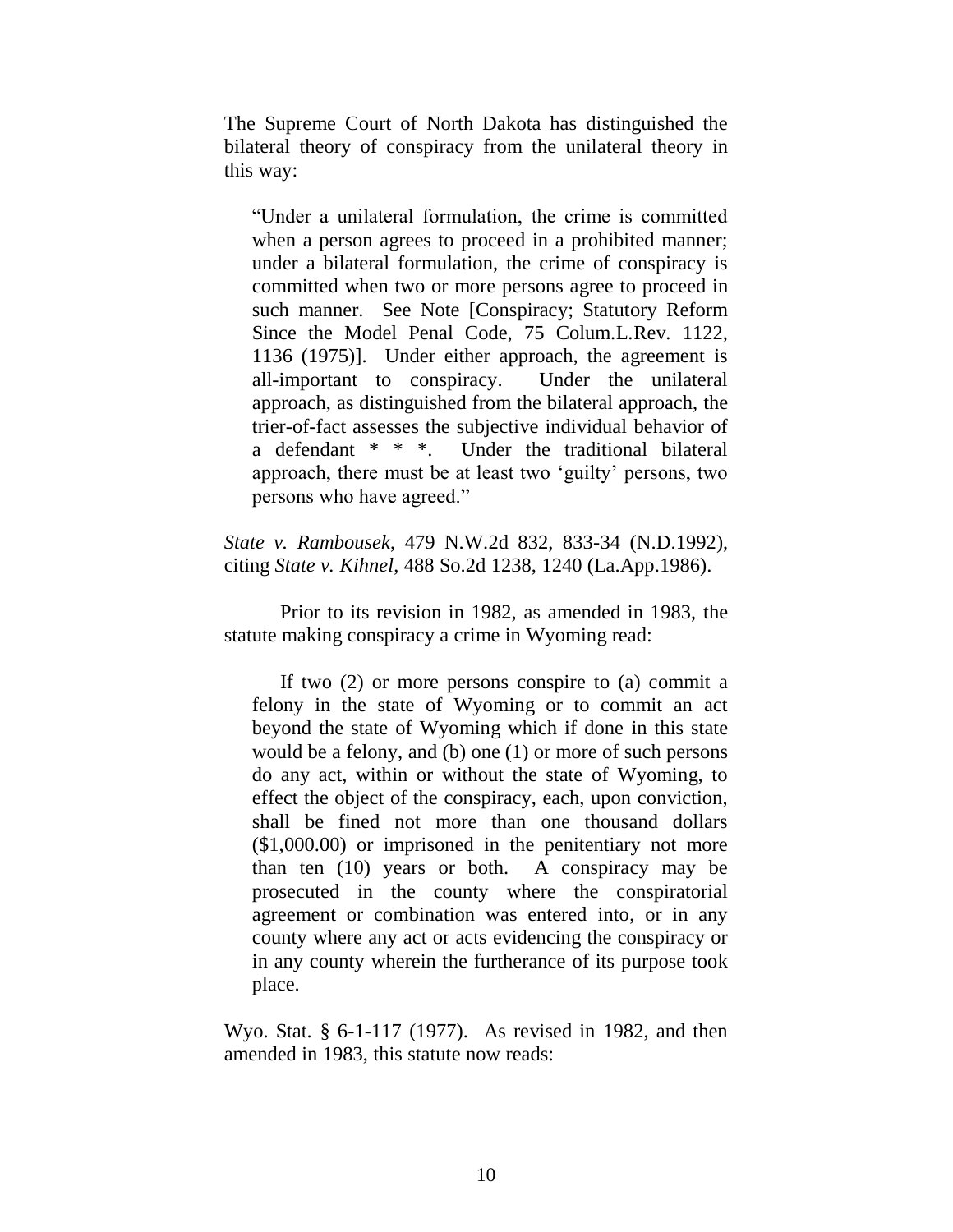The Supreme Court of North Dakota has distinguished the bilateral theory of conspiracy from the unilateral theory in this way:

"Under a unilateral formulation, the crime is committed when a person agrees to proceed in a prohibited manner; under a bilateral formulation, the crime of conspiracy is committed when two or more persons agree to proceed in such manner. See Note [Conspiracy; Statutory Reform Since the Model Penal Code, 75 Colum.L.Rev. 1122, 1136 (1975)]. Under either approach, the agreement is all-important to conspiracy. Under the unilateral approach, as distinguished from the bilateral approach, the trier-of-fact assesses the subjective individual behavior of a defendant \* \* \*. Under the traditional bilateral approach, there must be at least two "guilty" persons, two persons who have agreed."

*State v. Rambousek*, 479 N.W.2d 832, 833-34 (N.D.1992), citing *State v. Kihnel*, 488 So.2d 1238, 1240 (La.App.1986).

Prior to its revision in 1982, as amended in 1983, the statute making conspiracy a crime in Wyoming read:

If two (2) or more persons conspire to (a) commit a felony in the state of Wyoming or to commit an act beyond the state of Wyoming which if done in this state would be a felony, and (b) one (1) or more of such persons do any act, within or without the state of Wyoming, to effect the object of the conspiracy, each, upon conviction, shall be fined not more than one thousand dollars (\$1,000.00) or imprisoned in the penitentiary not more than ten (10) years or both. A conspiracy may be prosecuted in the county where the conspiratorial agreement or combination was entered into, or in any county where any act or acts evidencing the conspiracy or in any county wherein the furtherance of its purpose took place.

Wyo. Stat. § 6-1-117 (1977). As revised in 1982, and then amended in 1983, this statute now reads: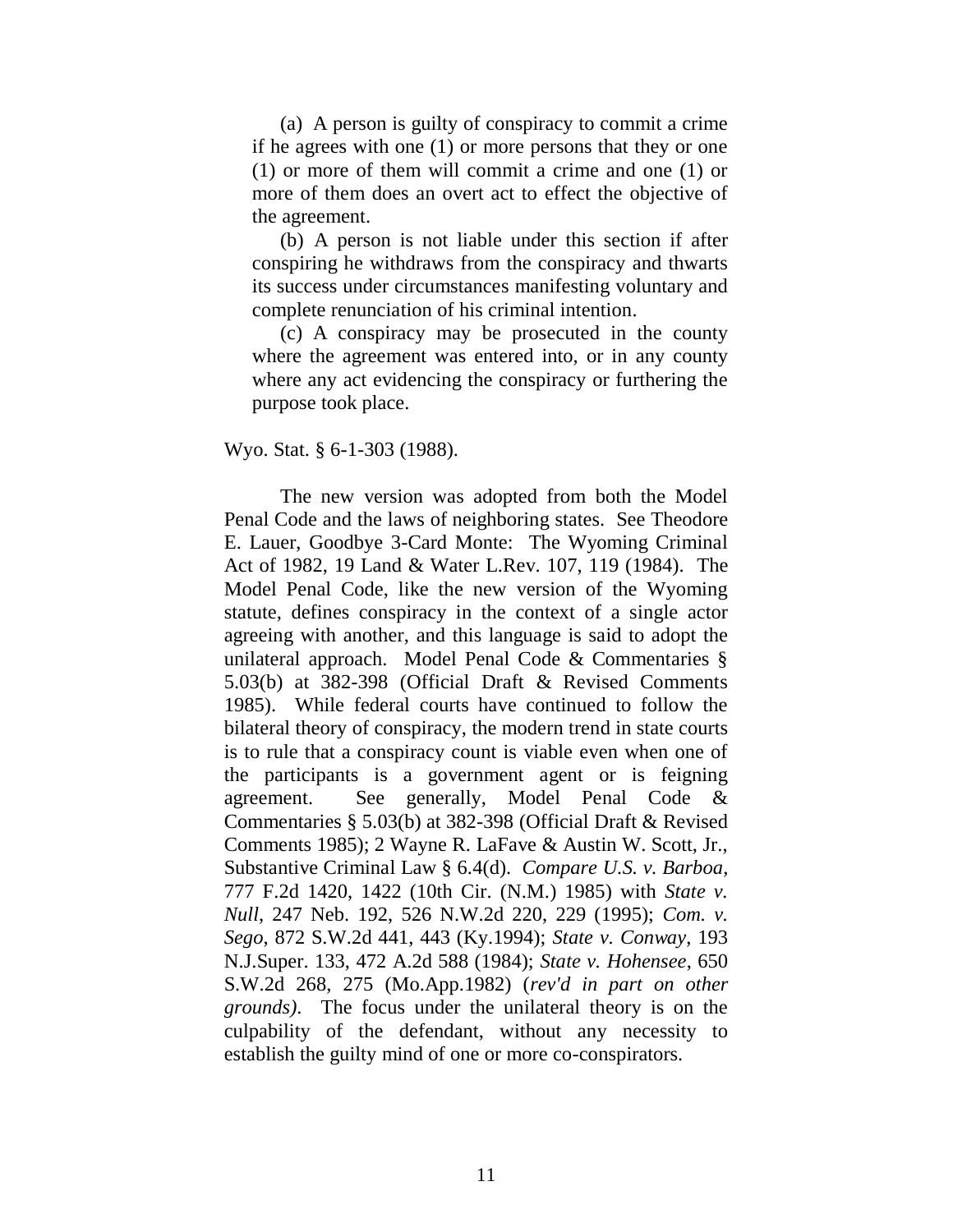(a) A person is guilty of conspiracy to commit a crime if he agrees with one (1) or more persons that they or one (1) or more of them will commit a crime and one (1) or more of them does an overt act to effect the objective of the agreement.

(b) A person is not liable under this section if after conspiring he withdraws from the conspiracy and thwarts its success under circumstances manifesting voluntary and complete renunciation of his criminal intention.

(c) A conspiracy may be prosecuted in the county where the agreement was entered into, or in any county where any act evidencing the conspiracy or furthering the purpose took place.

#### Wyo. Stat. § 6-1-303 (1988).

The new version was adopted from both the Model Penal Code and the laws of neighboring states. See Theodore E. Lauer, Goodbye 3-Card Monte: The Wyoming Criminal Act of 1982, 19 Land & Water L.Rev. 107, 119 (1984). The Model Penal Code, like the new version of the Wyoming statute, defines conspiracy in the context of a single actor agreeing with another, and this language is said to adopt the unilateral approach. Model Penal Code & Commentaries § 5.03(b) at 382-398 (Official Draft & Revised Comments 1985). While federal courts have continued to follow the bilateral theory of conspiracy, the modern trend in state courts is to rule that a conspiracy count is viable even when one of the participants is a government agent or is feigning agreement. See generally, Model Penal Code & Commentaries § 5.03(b) at 382-398 (Official Draft & Revised Comments 1985); 2 Wayne R. LaFave & Austin W. Scott, Jr., Substantive Criminal Law § 6.4(d). *Compare U.S. v. Barboa*, 777 F.2d 1420, 1422 (10th Cir. (N.M.) 1985) with *State v. Null*, 247 Neb. 192, 526 N.W.2d 220, 229 (1995); *Com. v. Sego*, 872 S.W.2d 441, 443 (Ky.1994); *State v. Conway*, 193 N.J.Super. 133, 472 A.2d 588 (1984); *State v. Hohensee*, 650 S.W.2d 268, 275 (Mo.App.1982) (*rev'd in part on other grounds)*. The focus under the unilateral theory is on the culpability of the defendant, without any necessity to establish the guilty mind of one or more co-conspirators.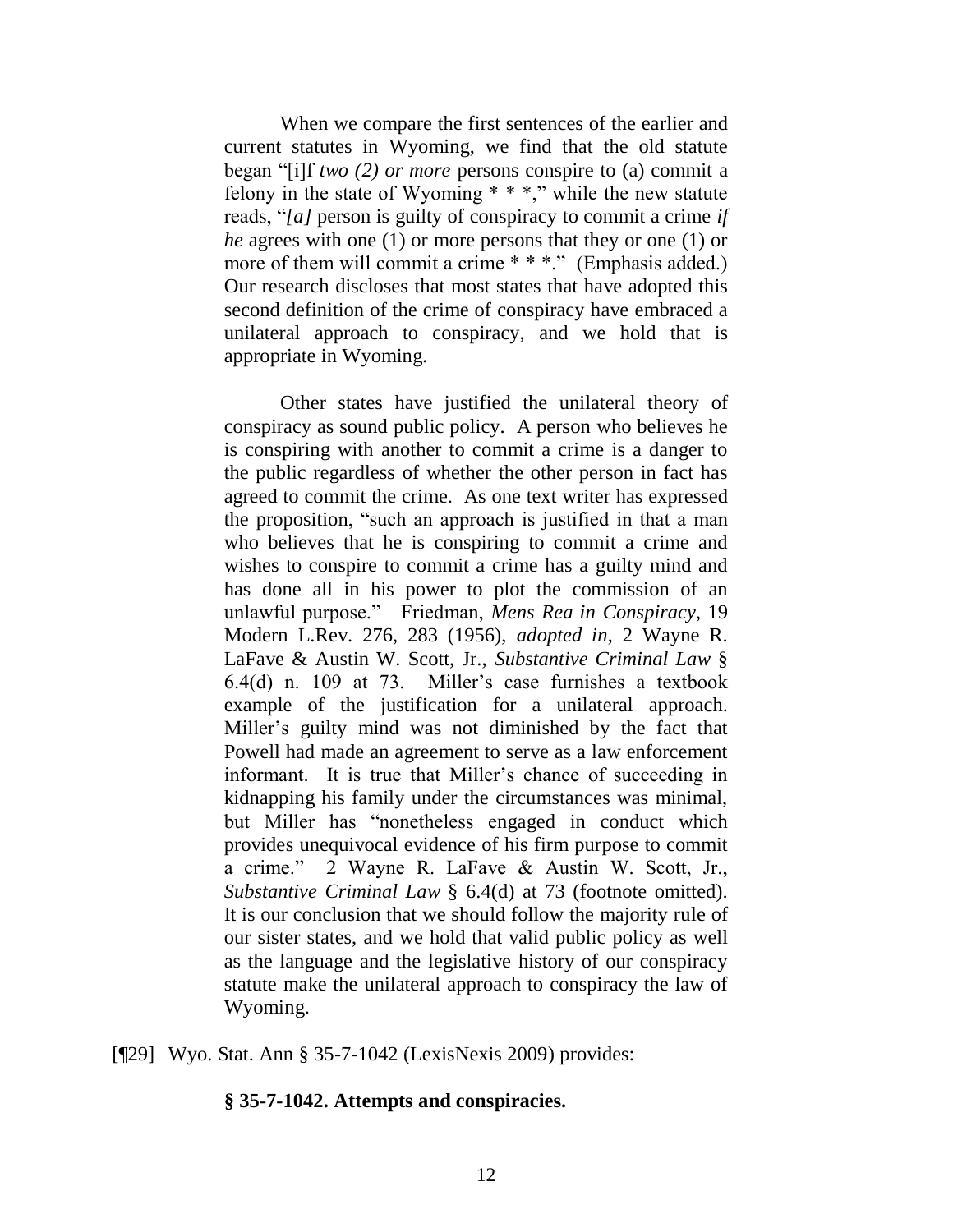When we compare the first sentences of the earlier and current statutes in Wyoming, we find that the old statute began "[i]f *two (2) or more* persons conspire to (a) commit a felony in the state of Wyoming  $**$ ," while the new statute reads, "*[a]* person is guilty of conspiracy to commit a crime *if he* agrees with one (1) or more persons that they or one (1) or more of them will commit a crime \* \* \*." (Emphasis added.) Our research discloses that most states that have adopted this second definition of the crime of conspiracy have embraced a unilateral approach to conspiracy, and we hold that is appropriate in Wyoming.

Other states have justified the unilateral theory of conspiracy as sound public policy. A person who believes he is conspiring with another to commit a crime is a danger to the public regardless of whether the other person in fact has agreed to commit the crime. As one text writer has expressed the proposition, "such an approach is justified in that a man who believes that he is conspiring to commit a crime and wishes to conspire to commit a crime has a guilty mind and has done all in his power to plot the commission of an unlawful purpose." Friedman, *Mens Rea in Conspiracy*, 19 Modern L.Rev. 276, 283 (1956), *adopted in*, 2 Wayne R. LaFave & Austin W. Scott, Jr., *Substantive Criminal Law* § 6.4(d) n. 109 at 73. Miller"s case furnishes a textbook example of the justification for a unilateral approach. Miller"s guilty mind was not diminished by the fact that Powell had made an agreement to serve as a law enforcement informant. It is true that Miller"s chance of succeeding in kidnapping his family under the circumstances was minimal, but Miller has "nonetheless engaged in conduct which provides unequivocal evidence of his firm purpose to commit a crime." 2 Wayne R. LaFave & Austin W. Scott, Jr., *Substantive Criminal Law* § 6.4(d) at 73 (footnote omitted). It is our conclusion that we should follow the majority rule of our sister states, and we hold that valid public policy as well as the language and the legislative history of our conspiracy statute make the unilateral approach to conspiracy the law of Wyoming.

[¶29] Wyo. Stat. Ann § 35-7-1042 (LexisNexis 2009) provides:

#### **§ 35-7-1042. Attempts and conspiracies.**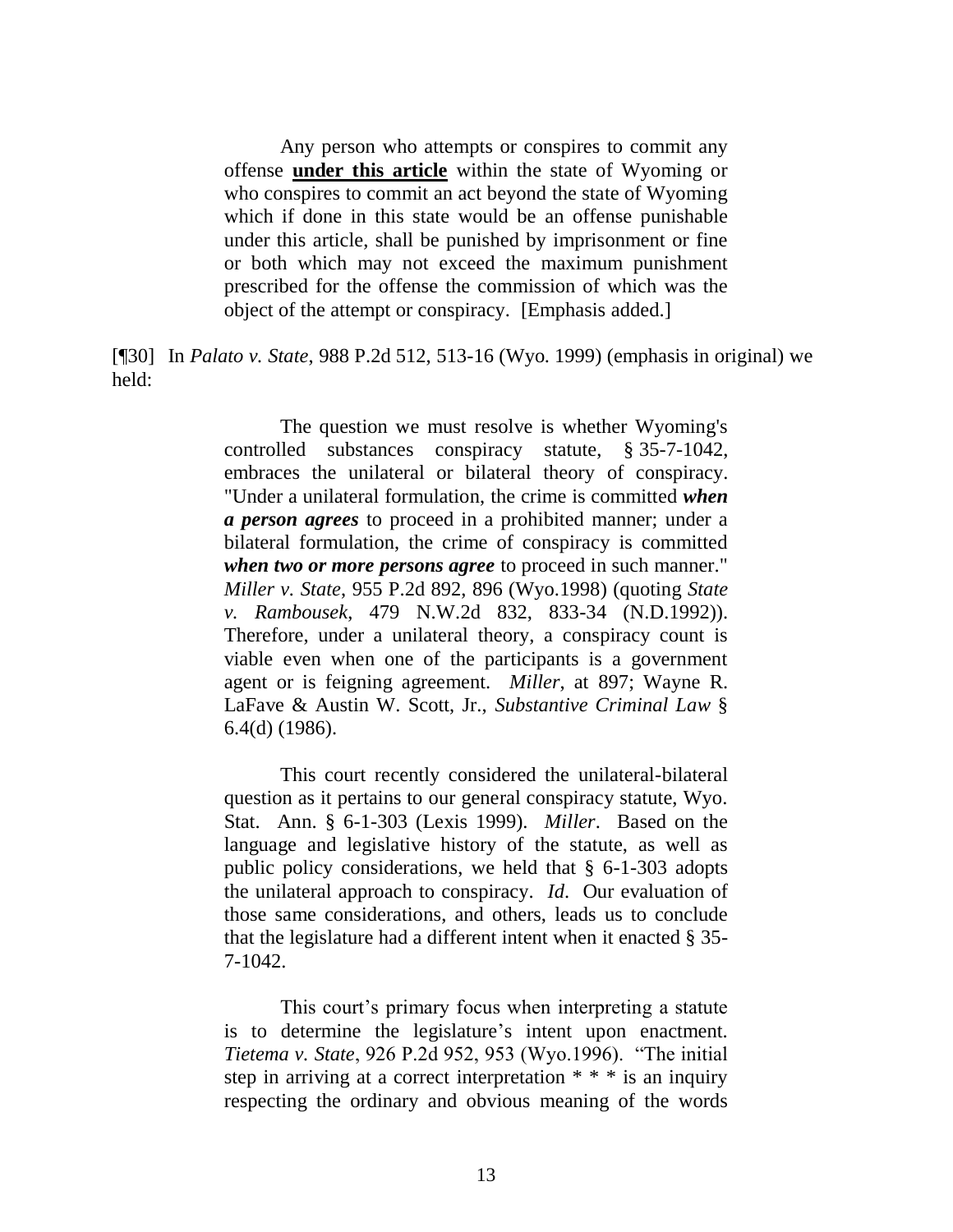Any person who attempts or conspires to commit any offense **under this article** within the state of Wyoming or who conspires to commit an act beyond the state of Wyoming which if done in this state would be an offense punishable under this article, shall be punished by imprisonment or fine or both which may not exceed the maximum punishment prescribed for the offense the commission of which was the object of the attempt or conspiracy. [Emphasis added.]

[¶30] In *Palato v. State*, 988 P.2d 512, 513-16 (Wyo. 1999) (emphasis in original) we held:

> The question we must resolve is whether Wyoming's controlled substances conspiracy statute, § 35-7-1042, embraces the unilateral or bilateral theory of conspiracy. "Under a unilateral formulation, the crime is committed *when a person agrees* to proceed in a prohibited manner; under a bilateral formulation, the crime of conspiracy is committed *when two or more persons agree* to proceed in such manner." *Miller v. State*, 955 P.2d 892, 896 (Wyo.1998) (quoting *State v. Rambousek*, 479 N.W.2d 832, 833-34 (N.D.1992)). Therefore, under a unilateral theory, a conspiracy count is viable even when one of the participants is a government agent or is feigning agreement. *Miller*, at 897; Wayne R. LaFave & Austin W. Scott, Jr., *Substantive Criminal Law* § 6.4(d) (1986).

> This court recently considered the unilateral-bilateral question as it pertains to our general conspiracy statute, Wyo. Stat. Ann. § 6-1-303 (Lexis 1999). *Miller*. Based on the language and legislative history of the statute, as well as public policy considerations, we held that § 6-1-303 adopts the unilateral approach to conspiracy. *Id*. Our evaluation of those same considerations, and others, leads us to conclude that the legislature had a different intent when it enacted § 35- 7-1042.

> This court's primary focus when interpreting a statute is to determine the legislature's intent upon enactment. *Tietema v. State*, 926 P.2d 952, 953 (Wyo.1996). "The initial step in arriving at a correct interpretation  $* * *$  is an inquiry respecting the ordinary and obvious meaning of the words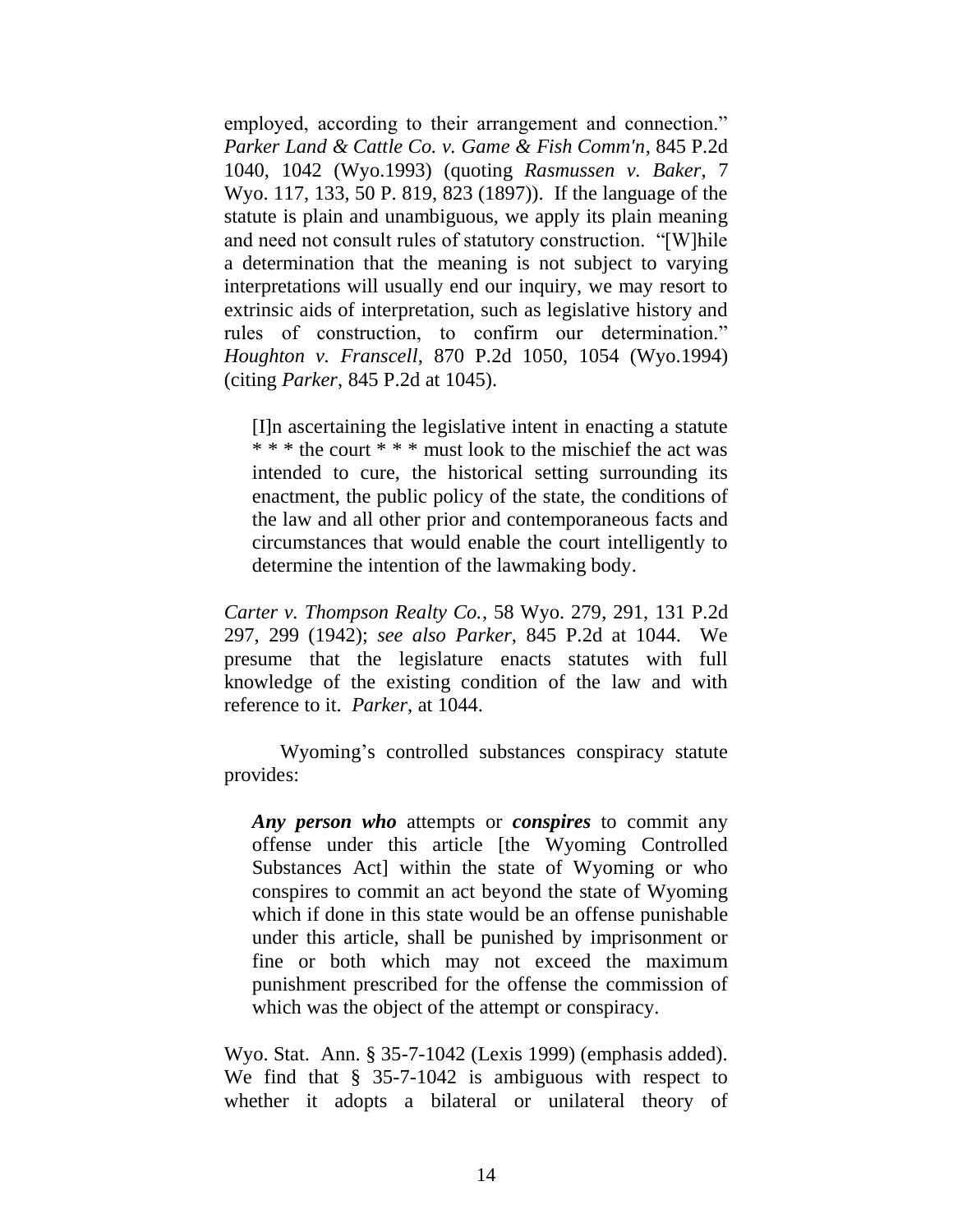employed, according to their arrangement and connection." *Parker Land & Cattle Co. v. Game & Fish Comm'n*, 845 P.2d 1040, 1042 (Wyo.1993) (quoting *Rasmussen v. Baker*, 7 Wyo. 117, 133, 50 P. 819, 823 (1897)). If the language of the statute is plain and unambiguous, we apply its plain meaning and need not consult rules of statutory construction. "[W]hile a determination that the meaning is not subject to varying interpretations will usually end our inquiry, we may resort to extrinsic aids of interpretation, such as legislative history and rules of construction, to confirm our determination." *Houghton v. Franscell*, 870 P.2d 1050, 1054 (Wyo.1994) (citing *Parker*, 845 P.2d at 1045).

[I]n ascertaining the legislative intent in enacting a statute \* \* \* the court \* \* \* must look to the mischief the act was intended to cure, the historical setting surrounding its enactment, the public policy of the state, the conditions of the law and all other prior and contemporaneous facts and circumstances that would enable the court intelligently to determine the intention of the lawmaking body.

*Carter v. Thompson Realty Co.*, 58 Wyo. 279, 291, 131 P.2d 297, 299 (1942); *see also Parker*, 845 P.2d at 1044. We presume that the legislature enacts statutes with full knowledge of the existing condition of the law and with reference to it. *Parker*, at 1044.

Wyoming"s controlled substances conspiracy statute provides:

*Any person who* attempts or *conspires* to commit any offense under this article [the Wyoming Controlled Substances Act] within the state of Wyoming or who conspires to commit an act beyond the state of Wyoming which if done in this state would be an offense punishable under this article, shall be punished by imprisonment or fine or both which may not exceed the maximum punishment prescribed for the offense the commission of which was the object of the attempt or conspiracy.

Wyo. Stat. Ann. § 35-7-1042 (Lexis 1999) (emphasis added). We find that § 35-7-1042 is ambiguous with respect to whether it adopts a bilateral or unilateral theory of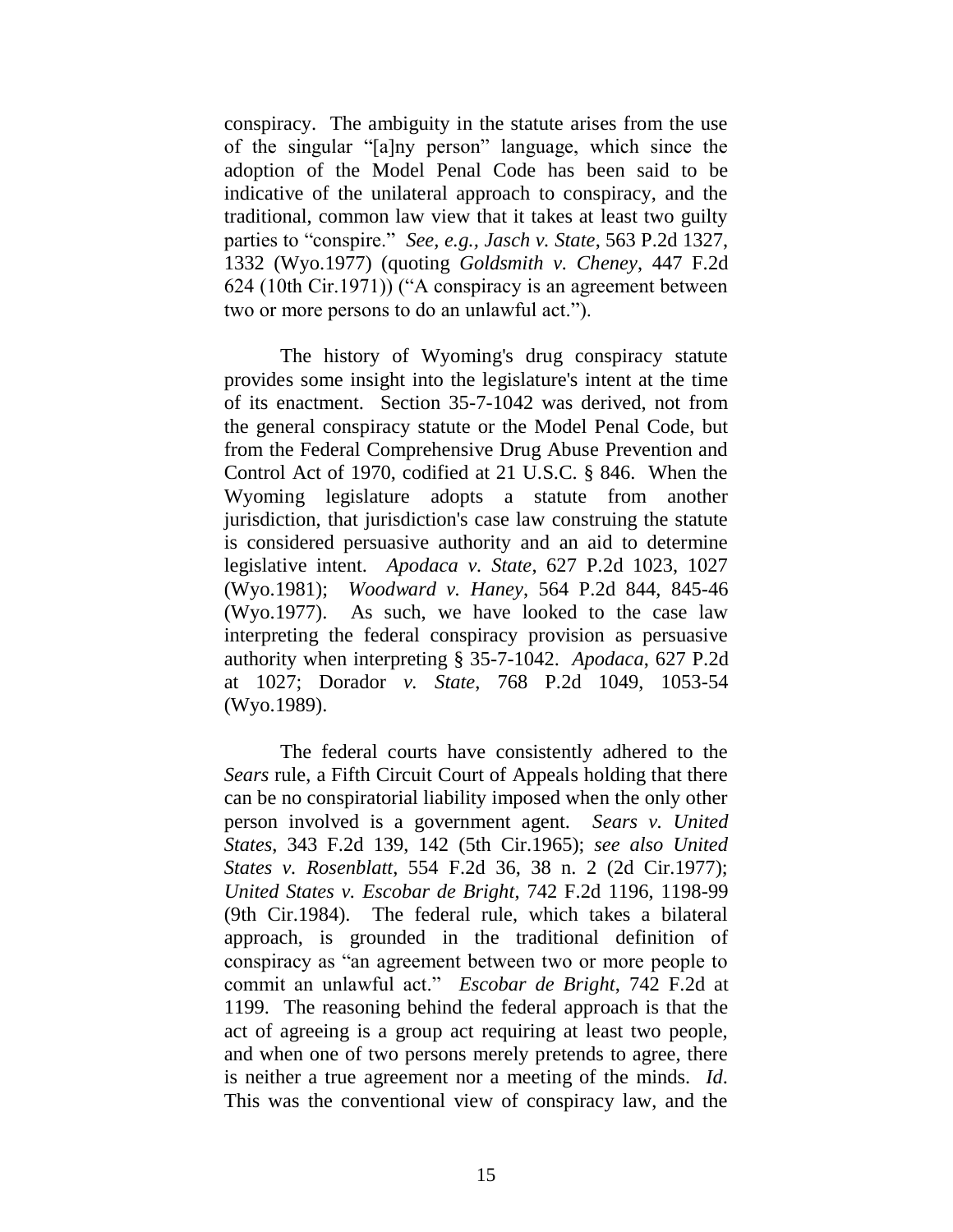conspiracy. The ambiguity in the statute arises from the use of the singular "[a]ny person" language, which since the adoption of the Model Penal Code has been said to be indicative of the unilateral approach to conspiracy, and the traditional, common law view that it takes at least two guilty parties to "conspire." *See, e.g., Jasch v. State*, 563 P.2d 1327, 1332 (Wyo.1977) (quoting *Goldsmith v. Cheney*, 447 F.2d 624 (10th Cir.1971)) ("A conspiracy is an agreement between two or more persons to do an unlawful act.").

The history of Wyoming's drug conspiracy statute provides some insight into the legislature's intent at the time of its enactment. Section 35-7-1042 was derived, not from the general conspiracy statute or the Model Penal Code, but from the Federal Comprehensive Drug Abuse Prevention and Control Act of 1970, codified at 21 U.S.C. § 846. When the Wyoming legislature adopts a statute from another jurisdiction, that jurisdiction's case law construing the statute is considered persuasive authority and an aid to determine legislative intent. *Apodaca v. State*, 627 P.2d 1023, 1027 (Wyo.1981); *Woodward v. Haney*, 564 P.2d 844, 845-46 (Wyo.1977). As such, we have looked to the case law interpreting the federal conspiracy provision as persuasive authority when interpreting § 35-7-1042. *Apodaca*, 627 P.2d at 1027; Dorador *v. State*, 768 P.2d 1049, 1053-54 (Wyo.1989).

The federal courts have consistently adhered to the *Sears* rule, a Fifth Circuit Court of Appeals holding that there can be no conspiratorial liability imposed when the only other person involved is a government agent. *Sears v. United States*, 343 F.2d 139, 142 (5th Cir.1965); *see also United States v. Rosenblatt*, 554 F.2d 36, 38 n. 2 (2d Cir.1977); *United States v. Escobar de Bright*, 742 F.2d 1196, 1198-99 (9th Cir.1984). The federal rule, which takes a bilateral approach, is grounded in the traditional definition of conspiracy as "an agreement between two or more people to commit an unlawful act." *Escobar de Bright*, 742 F.2d at 1199. The reasoning behind the federal approach is that the act of agreeing is a group act requiring at least two people, and when one of two persons merely pretends to agree, there is neither a true agreement nor a meeting of the minds. *Id*. This was the conventional view of conspiracy law, and the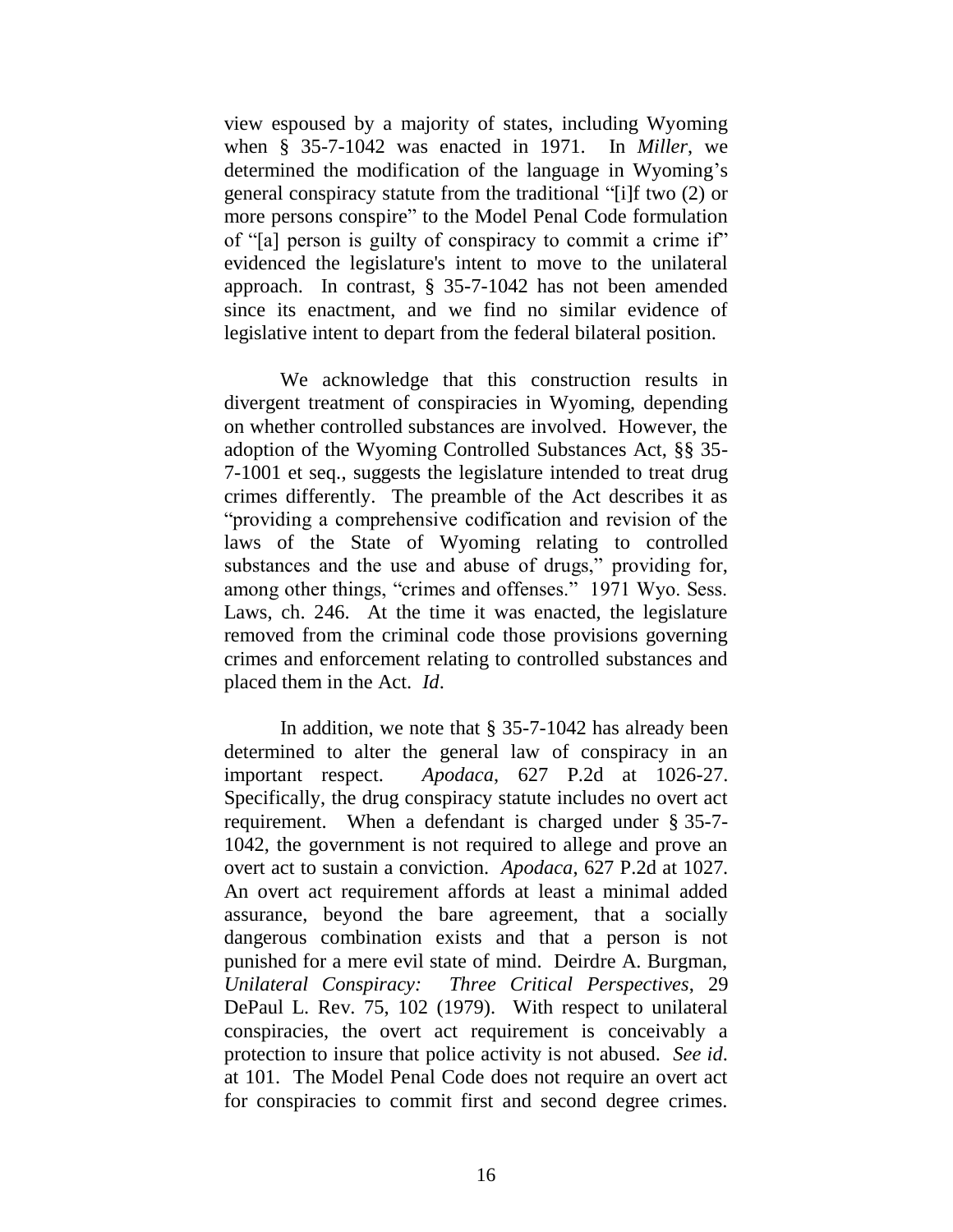view espoused by a majority of states, including Wyoming when § 35-7-1042 was enacted in 1971. In *Miller*, we determined the modification of the language in Wyoming"s general conspiracy statute from the traditional "[i]f two (2) or more persons conspire" to the Model Penal Code formulation of "[a] person is guilty of conspiracy to commit a crime if" evidenced the legislature's intent to move to the unilateral approach. In contrast, § 35-7-1042 has not been amended since its enactment, and we find no similar evidence of legislative intent to depart from the federal bilateral position.

We acknowledge that this construction results in divergent treatment of conspiracies in Wyoming, depending on whether controlled substances are involved. However, the adoption of the Wyoming Controlled Substances Act, §§ 35- 7-1001 et seq., suggests the legislature intended to treat drug crimes differently. The preamble of the Act describes it as "providing a comprehensive codification and revision of the laws of the State of Wyoming relating to controlled substances and the use and abuse of drugs," providing for, among other things, "crimes and offenses." 1971 Wyo. Sess. Laws, ch. 246. At the time it was enacted, the legislature removed from the criminal code those provisions governing crimes and enforcement relating to controlled substances and placed them in the Act. *Id*.

In addition, we note that § 35-7-1042 has already been determined to alter the general law of conspiracy in an important respect. *Apodaca*, 627 P.2d at 1026-27. Specifically, the drug conspiracy statute includes no overt act requirement. When a defendant is charged under § 35-7- 1042, the government is not required to allege and prove an overt act to sustain a conviction. *Apodaca*, 627 P.2d at 1027. An overt act requirement affords at least a minimal added assurance, beyond the bare agreement, that a socially dangerous combination exists and that a person is not punished for a mere evil state of mind. Deirdre A. Burgman, *Unilateral Conspiracy: Three Critical Perspectives*, 29 DePaul L. Rev. 75, 102 (1979). With respect to unilateral conspiracies, the overt act requirement is conceivably a protection to insure that police activity is not abused. *See id*. at 101. The Model Penal Code does not require an overt act for conspiracies to commit first and second degree crimes.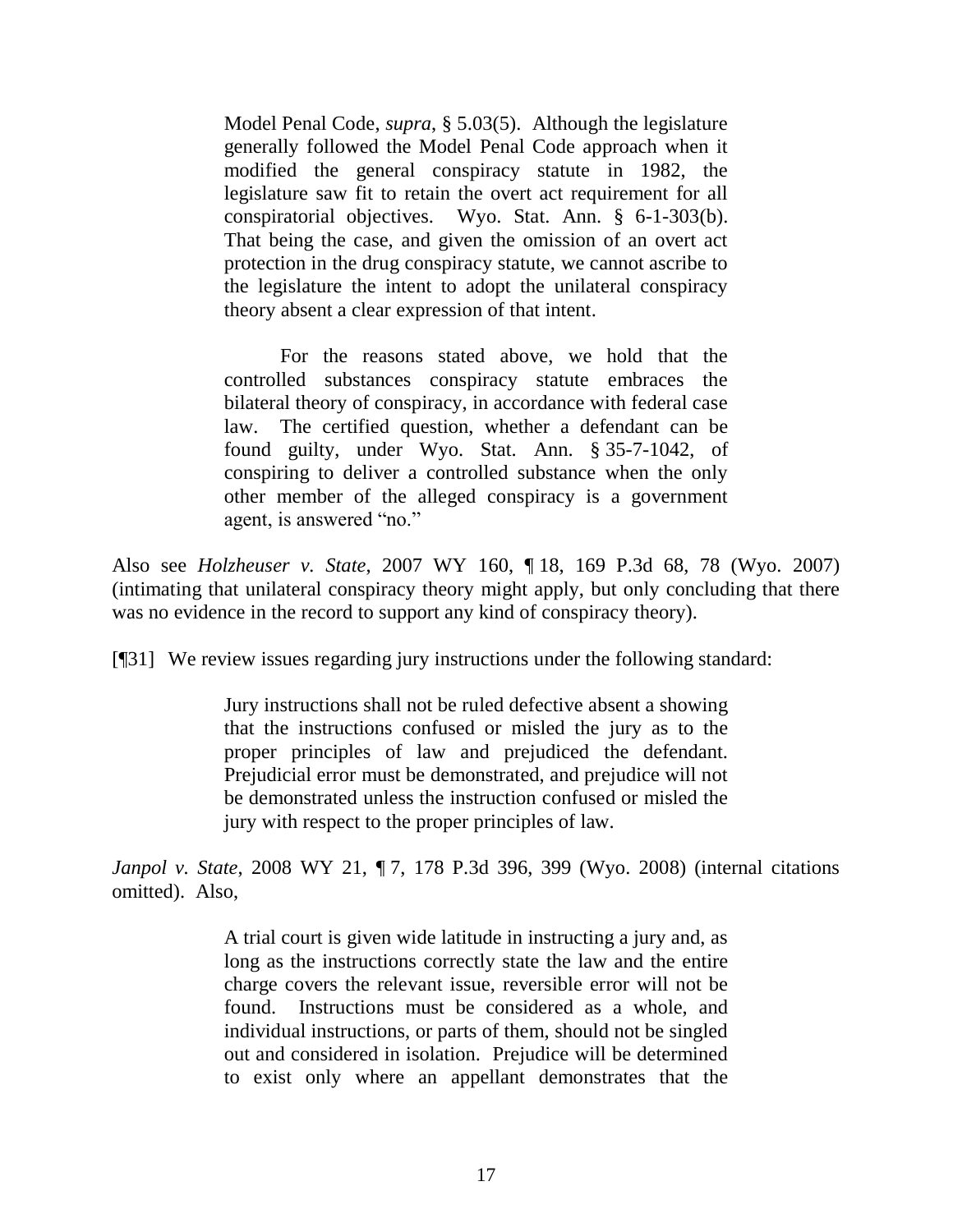Model Penal Code, *supra*, § 5.03(5). Although the legislature generally followed the Model Penal Code approach when it modified the general conspiracy statute in 1982, the legislature saw fit to retain the overt act requirement for all conspiratorial objectives. Wyo. Stat. Ann. § 6-1-303(b). That being the case, and given the omission of an overt act protection in the drug conspiracy statute, we cannot ascribe to the legislature the intent to adopt the unilateral conspiracy theory absent a clear expression of that intent.

For the reasons stated above, we hold that the controlled substances conspiracy statute embraces the bilateral theory of conspiracy, in accordance with federal case law. The certified question, whether a defendant can be found guilty, under Wyo. Stat. Ann. § 35-7-1042, of conspiring to deliver a controlled substance when the only other member of the alleged conspiracy is a government agent, is answered "no."

Also see *Holzheuser v. State*, 2007 WY 160, ¶ 18, 169 P.3d 68, 78 (Wyo. 2007) (intimating that unilateral conspiracy theory might apply, but only concluding that there was no evidence in the record to support any kind of conspiracy theory).

[¶31] We review issues regarding jury instructions under the following standard:

Jury instructions shall not be ruled defective absent a showing that the instructions confused or misled the jury as to the proper principles of law and prejudiced the defendant. Prejudicial error must be demonstrated, and prejudice will not be demonstrated unless the instruction confused or misled the jury with respect to the proper principles of law.

*Janpol v. State*, 2008 WY 21, ¶ 7, 178 P.3d 396, 399 (Wyo. 2008) (internal citations omitted). Also,

> A trial court is given wide latitude in instructing a jury and, as long as the instructions correctly state the law and the entire charge covers the relevant issue, reversible error will not be found. Instructions must be considered as a whole, and individual instructions, or parts of them, should not be singled out and considered in isolation. Prejudice will be determined to exist only where an appellant demonstrates that the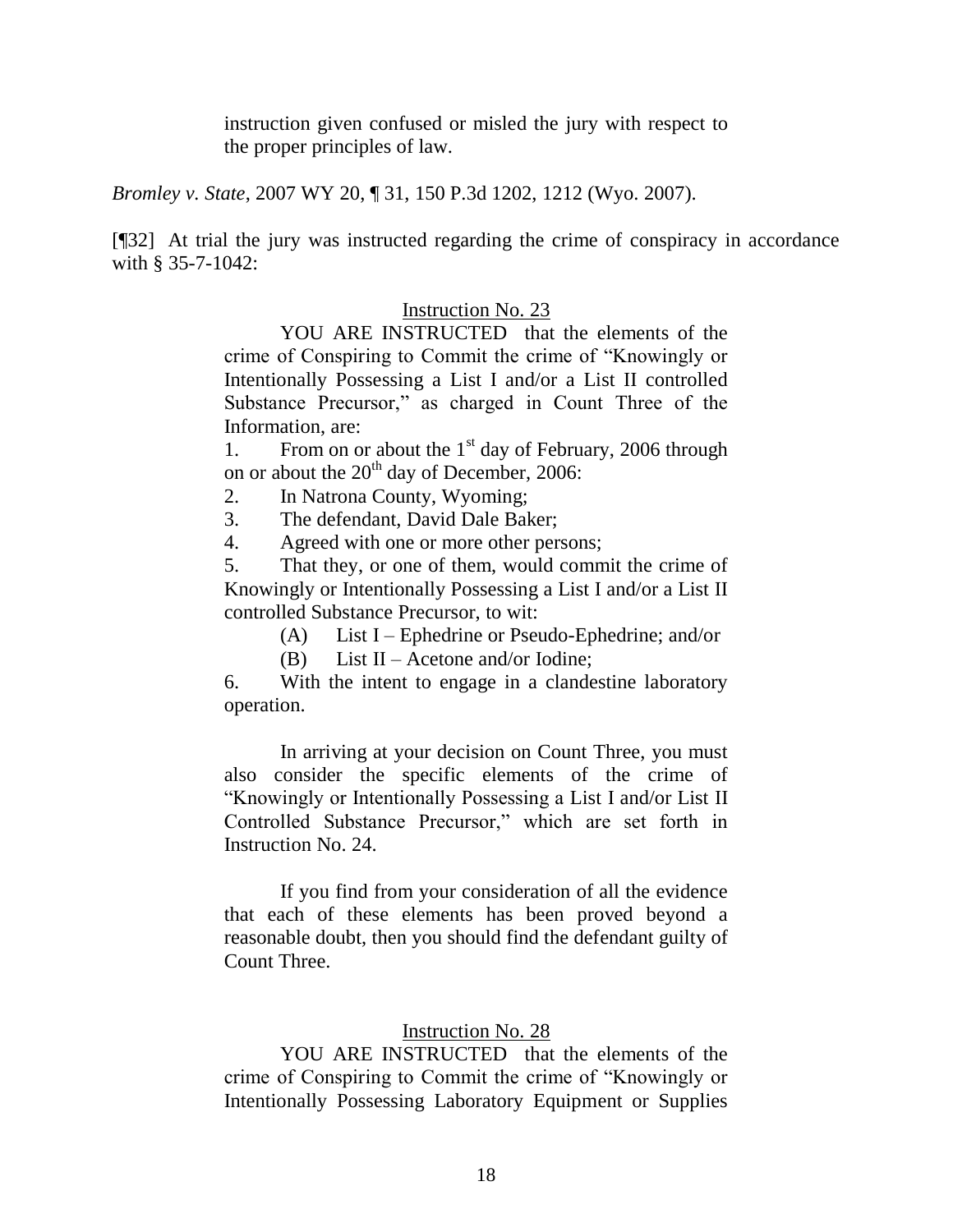instruction given confused or misled the jury with respect to the proper principles of law.

*Bromley v. State*, 2007 WY 20, ¶ 31, 150 P.3d 1202, 1212 (Wyo. 2007).

[¶32] At trial the jury was instructed regarding the crime of conspiracy in accordance with § 35-7-1042:

## Instruction No. 23

YOU ARE INSTRUCTED that the elements of the crime of Conspiring to Commit the crime of "Knowingly or Intentionally Possessing a List I and/or a List II controlled Substance Precursor," as charged in Count Three of the Information, are:

1. From on or about the  $1<sup>st</sup>$  day of February, 2006 through on or about the  $20<sup>th</sup>$  day of December, 2006:

2. In Natrona County, Wyoming;

3. The defendant, David Dale Baker;

4. Agreed with one or more other persons;

5. That they, or one of them, would commit the crime of Knowingly or Intentionally Possessing a List I and/or a List II controlled Substance Precursor, to wit:

(A) List I – Ephedrine or Pseudo-Ephedrine; and/or

(B) List II – Acetone and/or Iodine;

6. With the intent to engage in a clandestine laboratory operation.

In arriving at your decision on Count Three, you must also consider the specific elements of the crime of "Knowingly or Intentionally Possessing a List I and/or List II Controlled Substance Precursor," which are set forth in Instruction No. 24.

If you find from your consideration of all the evidence that each of these elements has been proved beyond a reasonable doubt, then you should find the defendant guilty of Count Three.

# Instruction No. 28

YOU ARE INSTRUCTED that the elements of the crime of Conspiring to Commit the crime of "Knowingly or Intentionally Possessing Laboratory Equipment or Supplies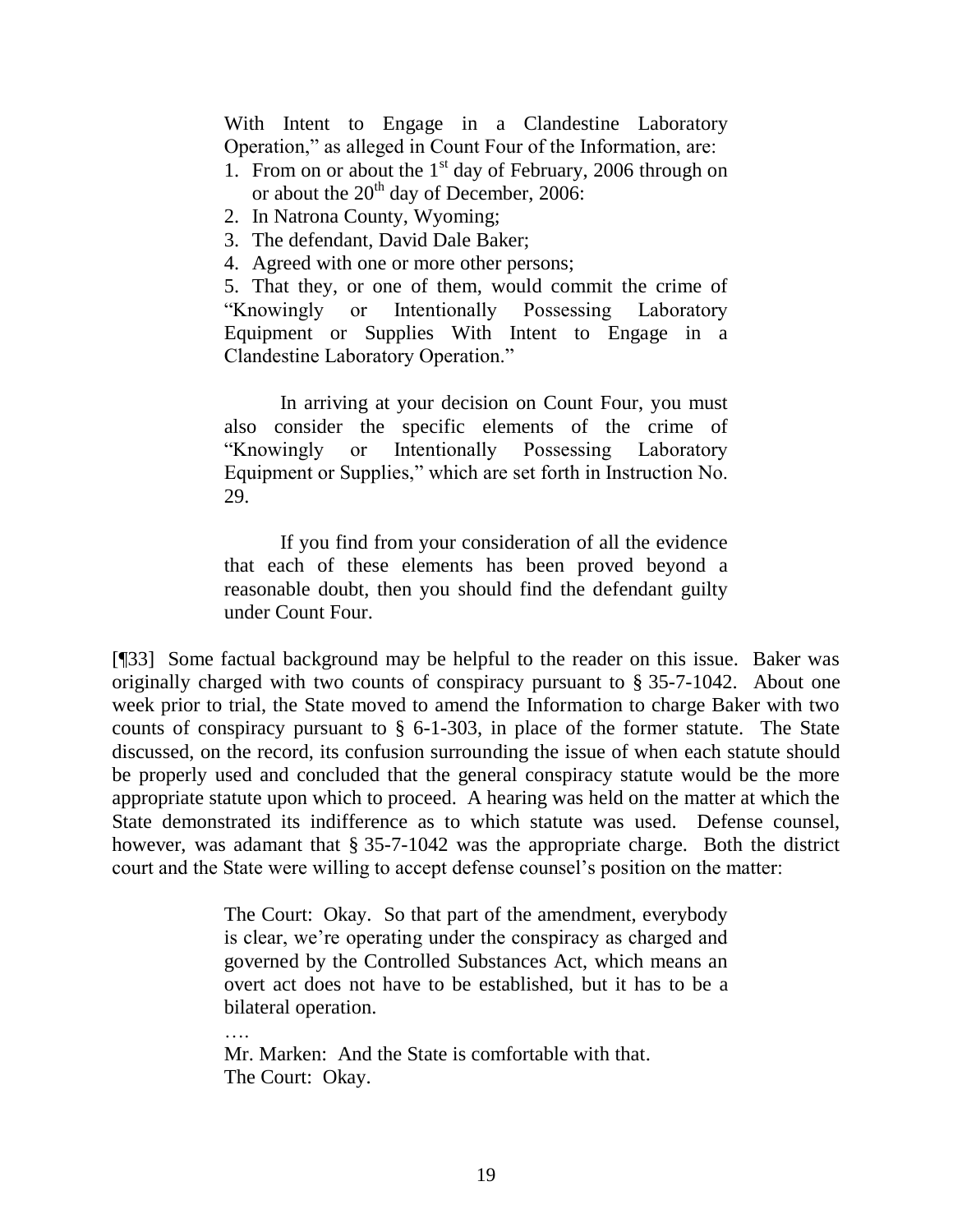With Intent to Engage in a Clandestine Laboratory Operation," as alleged in Count Four of the Information, are:

- 1. From on or about the  $1<sup>st</sup>$  day of February, 2006 through on or about the  $20<sup>th</sup>$  day of December, 2006:
- 2. In Natrona County, Wyoming;
- 3. The defendant, David Dale Baker;
- 4. Agreed with one or more other persons;

5. That they, or one of them, would commit the crime of "Knowingly or Intentionally Possessing Laboratory Equipment or Supplies With Intent to Engage in a Clandestine Laboratory Operation."

In arriving at your decision on Count Four, you must also consider the specific elements of the crime of "Knowingly or Intentionally Possessing Laboratory Equipment or Supplies," which are set forth in Instruction No. 29.

If you find from your consideration of all the evidence that each of these elements has been proved beyond a reasonable doubt, then you should find the defendant guilty under Count Four.

[¶33] Some factual background may be helpful to the reader on this issue. Baker was originally charged with two counts of conspiracy pursuant to § 35-7-1042. About one week prior to trial, the State moved to amend the Information to charge Baker with two counts of conspiracy pursuant to § 6-1-303, in place of the former statute. The State discussed, on the record, its confusion surrounding the issue of when each statute should be properly used and concluded that the general conspiracy statute would be the more appropriate statute upon which to proceed. A hearing was held on the matter at which the State demonstrated its indifference as to which statute was used. Defense counsel, however, was adamant that § 35-7-1042 was the appropriate charge. Both the district court and the State were willing to accept defense counsel's position on the matter:

> The Court: Okay. So that part of the amendment, everybody is clear, we"re operating under the conspiracy as charged and governed by the Controlled Substances Act, which means an overt act does not have to be established, but it has to be a bilateral operation.

…. Mr. Marken: And the State is comfortable with that. The Court: Okay.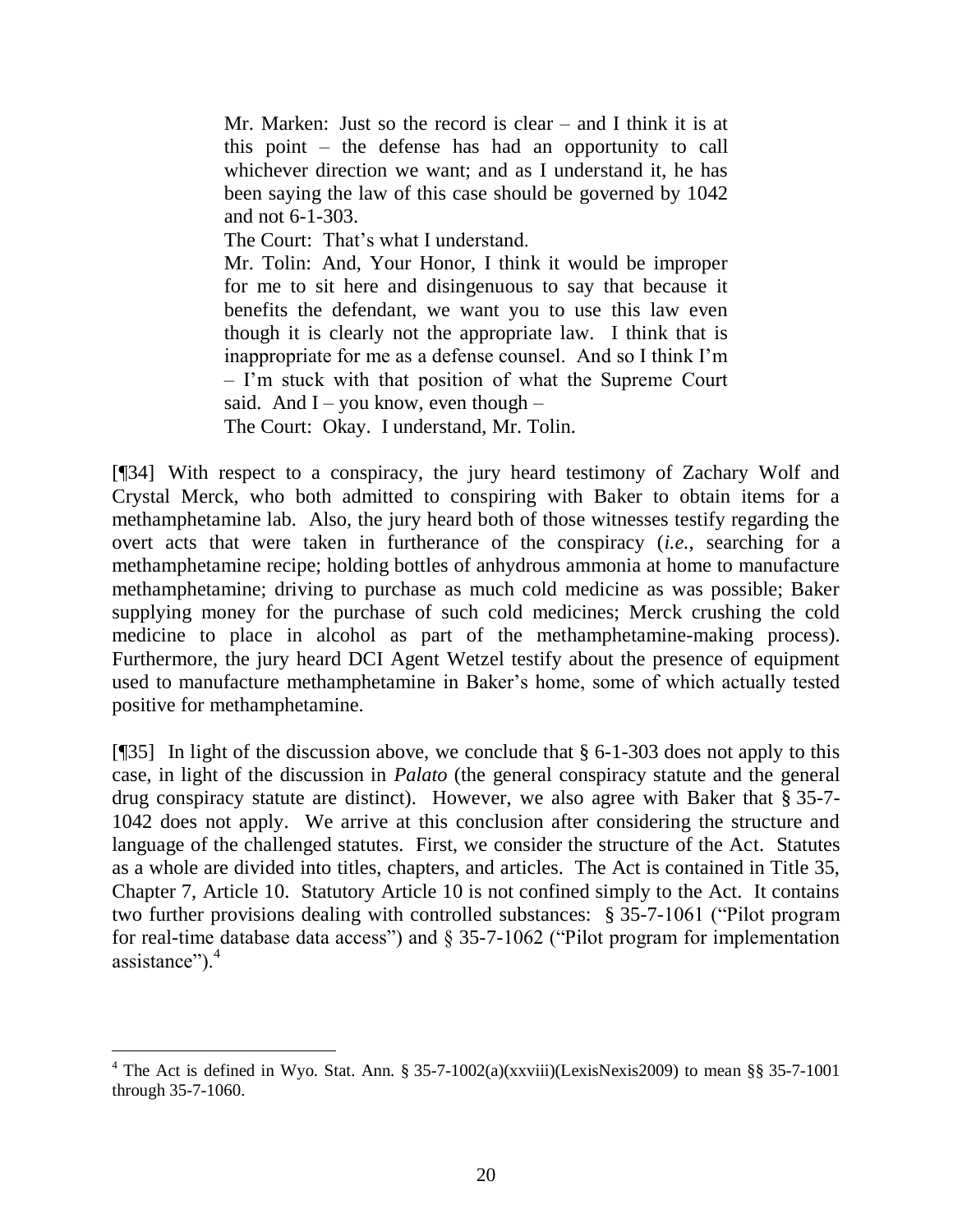Mr. Marken: Just so the record is clear – and I think it is at this point – the defense has had an opportunity to call whichever direction we want; and as I understand it, he has been saying the law of this case should be governed by 1042 and not 6-1-303.

The Court: That's what I understand.

Mr. Tolin: And, Your Honor, I think it would be improper for me to sit here and disingenuous to say that because it benefits the defendant, we want you to use this law even though it is clearly not the appropriate law. I think that is inappropriate for me as a defense counsel. And so I think I"m – I"m stuck with that position of what the Supreme Court said. And  $I - you know, even though -$ The Court: Okay. I understand, Mr. Tolin.

[¶34] With respect to a conspiracy, the jury heard testimony of Zachary Wolf and Crystal Merck, who both admitted to conspiring with Baker to obtain items for a methamphetamine lab. Also, the jury heard both of those witnesses testify regarding the overt acts that were taken in furtherance of the conspiracy (*i.e.*, searching for a methamphetamine recipe; holding bottles of anhydrous ammonia at home to manufacture methamphetamine; driving to purchase as much cold medicine as was possible; Baker supplying money for the purchase of such cold medicines; Merck crushing the cold medicine to place in alcohol as part of the methamphetamine-making process). Furthermore, the jury heard DCI Agent Wetzel testify about the presence of equipment used to manufacture methamphetamine in Baker's home, some of which actually tested positive for methamphetamine.

[¶35] In light of the discussion above, we conclude that § 6-1-303 does not apply to this case, in light of the discussion in *Palato* (the general conspiracy statute and the general drug conspiracy statute are distinct). However, we also agree with Baker that § 35-7- 1042 does not apply. We arrive at this conclusion after considering the structure and language of the challenged statutes. First, we consider the structure of the Act. Statutes as a whole are divided into titles, chapters, and articles. The Act is contained in Title 35, Chapter 7, Article 10. Statutory Article 10 is not confined simply to the Act. It contains two further provisions dealing with controlled substances: § 35-7-1061 ("Pilot program for real-time database data access") and § 35-7-1062 ("Pilot program for implementation assistance" $)$ <sup>4</sup>

 $\overline{a}$ 

<sup>&</sup>lt;sup>4</sup> The Act is defined in Wyo. Stat. Ann. § 35-7-1002(a)(xxviii)(LexisNexis2009) to mean §§ 35-7-1001 through 35-7-1060.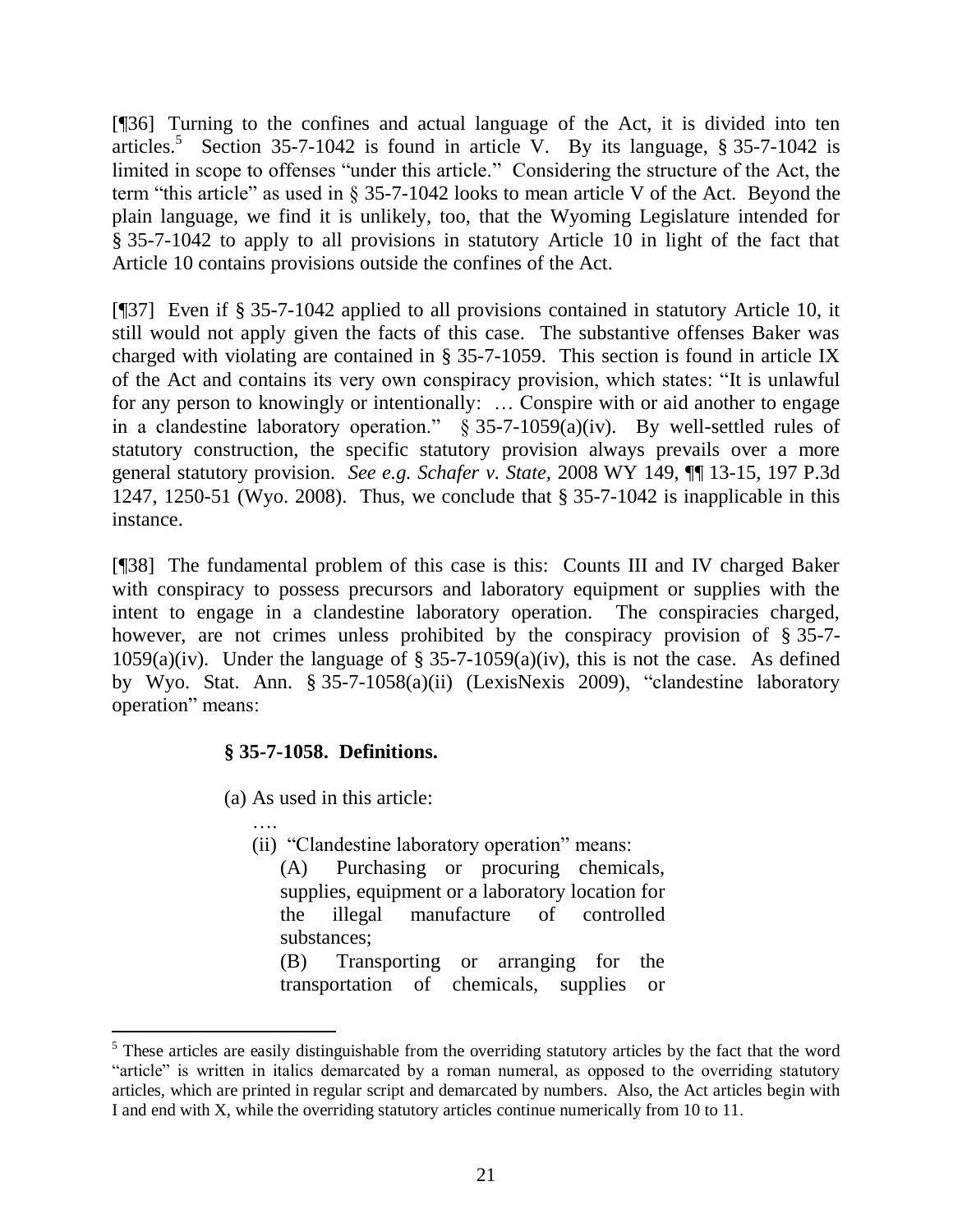[¶36] Turning to the confines and actual language of the Act, it is divided into ten articles.<sup>5</sup> Section 35-7-1042 is found in article V. By its language,  $\S 35$ -7-1042 is limited in scope to offenses "under this article." Considering the structure of the Act, the term "this article" as used in § 35-7-1042 looks to mean article V of the Act. Beyond the plain language, we find it is unlikely, too, that the Wyoming Legislature intended for § 35-7-1042 to apply to all provisions in statutory Article 10 in light of the fact that Article 10 contains provisions outside the confines of the Act.

[¶37] Even if § 35-7-1042 applied to all provisions contained in statutory Article 10, it still would not apply given the facts of this case. The substantive offenses Baker was charged with violating are contained in § 35-7-1059. This section is found in article IX of the Act and contains its very own conspiracy provision, which states: "It is unlawful for any person to knowingly or intentionally: … Conspire with or aid another to engage in a clandestine laboratory operation." § 35-7-1059(a)(iv). By well-settled rules of statutory construction, the specific statutory provision always prevails over a more general statutory provision. *See e.g. Schafer v. State,* 2008 WY 149, ¶¶ 13-15, 197 P.3d 1247, 1250-51 (Wyo. 2008). Thus, we conclude that § 35-7-1042 is inapplicable in this instance.

[¶38] The fundamental problem of this case is this: Counts III and IV charged Baker with conspiracy to possess precursors and laboratory equipment or supplies with the intent to engage in a clandestine laboratory operation. The conspiracies charged, however, are not crimes unless prohibited by the conspiracy provision of § 35-7-1059(a)(iv). Under the language of § 35-7-1059(a)(iv), this is not the case. As defined by Wyo. Stat. Ann. § 35-7-1058(a)(ii) (LexisNexis 2009), "clandestine laboratory operation" means:

## **§ 35-7-1058. Definitions.**

(a) As used in this article:

….

 $\overline{a}$ 

(ii) "Clandestine laboratory operation" means: (A) Purchasing or procuring chemicals, supplies, equipment or a laboratory location for the illegal manufacture of controlled substances;

(B) Transporting or arranging for the transportation of chemicals, supplies or

<sup>&</sup>lt;sup>5</sup> These articles are easily distinguishable from the overriding statutory articles by the fact that the word "article" is written in italics demarcated by a roman numeral, as opposed to the overriding statutory articles, which are printed in regular script and demarcated by numbers. Also, the Act articles begin with I and end with X, while the overriding statutory articles continue numerically from 10 to 11.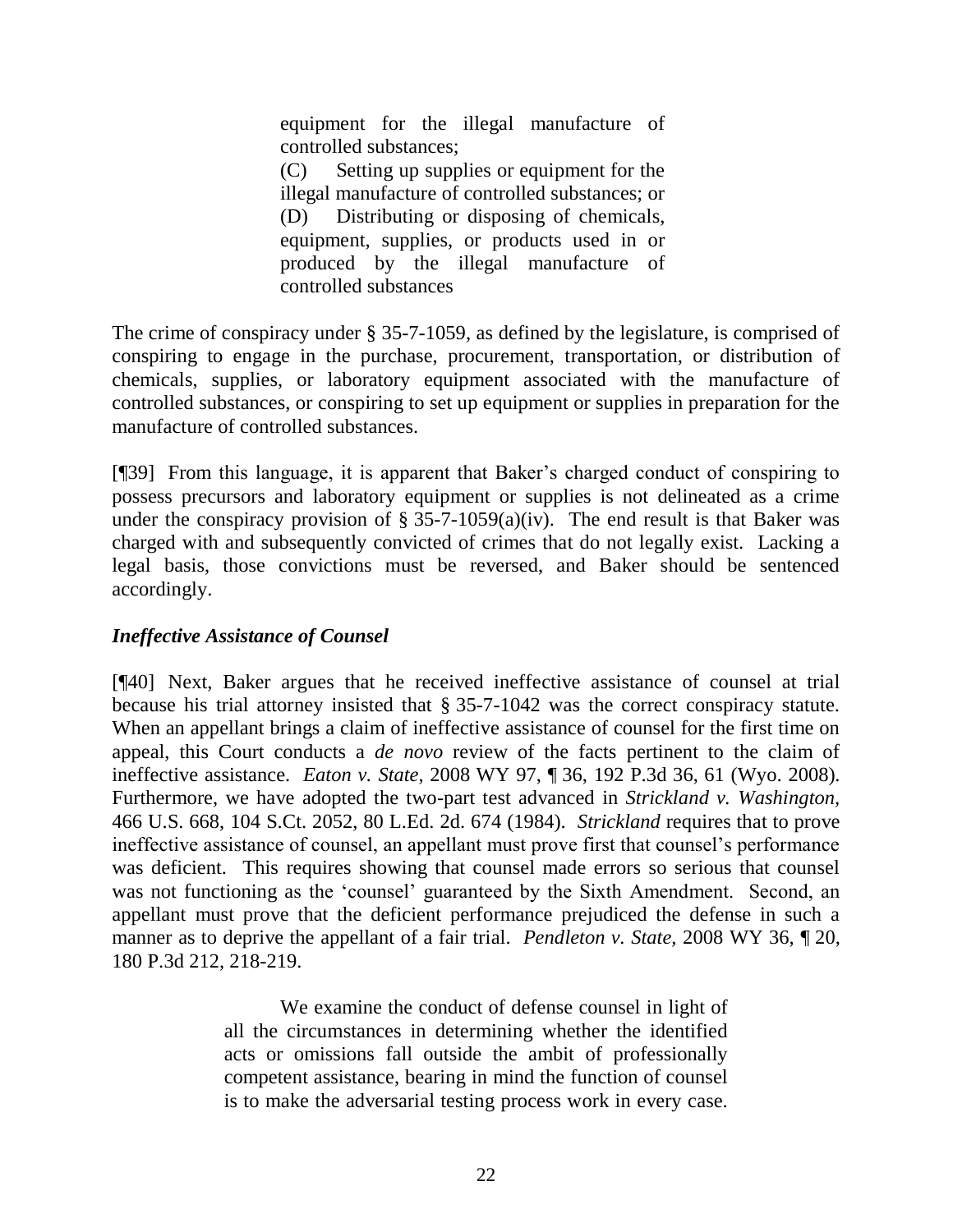equipment for the illegal manufacture of controlled substances;

(C) Setting up supplies or equipment for the illegal manufacture of controlled substances; or (D) Distributing or disposing of chemicals, equipment, supplies, or products used in or produced by the illegal manufacture of controlled substances

The crime of conspiracy under § 35-7-1059, as defined by the legislature, is comprised of conspiring to engage in the purchase, procurement, transportation, or distribution of chemicals, supplies, or laboratory equipment associated with the manufacture of controlled substances, or conspiring to set up equipment or supplies in preparation for the manufacture of controlled substances.

[¶39] From this language, it is apparent that Baker"s charged conduct of conspiring to possess precursors and laboratory equipment or supplies is not delineated as a crime under the conspiracy provision of  $\S 35$ -7-1059(a)(iv). The end result is that Baker was charged with and subsequently convicted of crimes that do not legally exist. Lacking a legal basis, those convictions must be reversed, and Baker should be sentenced accordingly.

# *Ineffective Assistance of Counsel*

[¶40] Next, Baker argues that he received ineffective assistance of counsel at trial because his trial attorney insisted that § 35-7-1042 was the correct conspiracy statute. When an appellant brings a claim of ineffective assistance of counsel for the first time on appeal, this Court conducts a *de novo* review of the facts pertinent to the claim of ineffective assistance. *Eaton v. State,* 2008 WY 97, ¶ 36, 192 P.3d 36, 61 (Wyo. 2008). Furthermore, we have adopted the two-part test advanced in *Strickland v. Washington,*  466 U.S. 668, 104 S.Ct. 2052, 80 L.Ed. 2d. 674 (1984). *Strickland* requires that to prove ineffective assistance of counsel, an appellant must prove first that counsel's performance was deficient. This requires showing that counsel made errors so serious that counsel was not functioning as the "counsel" guaranteed by the Sixth Amendment. Second, an appellant must prove that the deficient performance prejudiced the defense in such a manner as to deprive the appellant of a fair trial. *Pendleton v. State,* 2008 WY 36, ¶ 20, 180 P.3d 212, 218-219.

> We examine the conduct of defense counsel in light of all the circumstances in determining whether the identified acts or omissions fall outside the ambit of professionally competent assistance, bearing in mind the function of counsel is to make the adversarial testing process work in every case.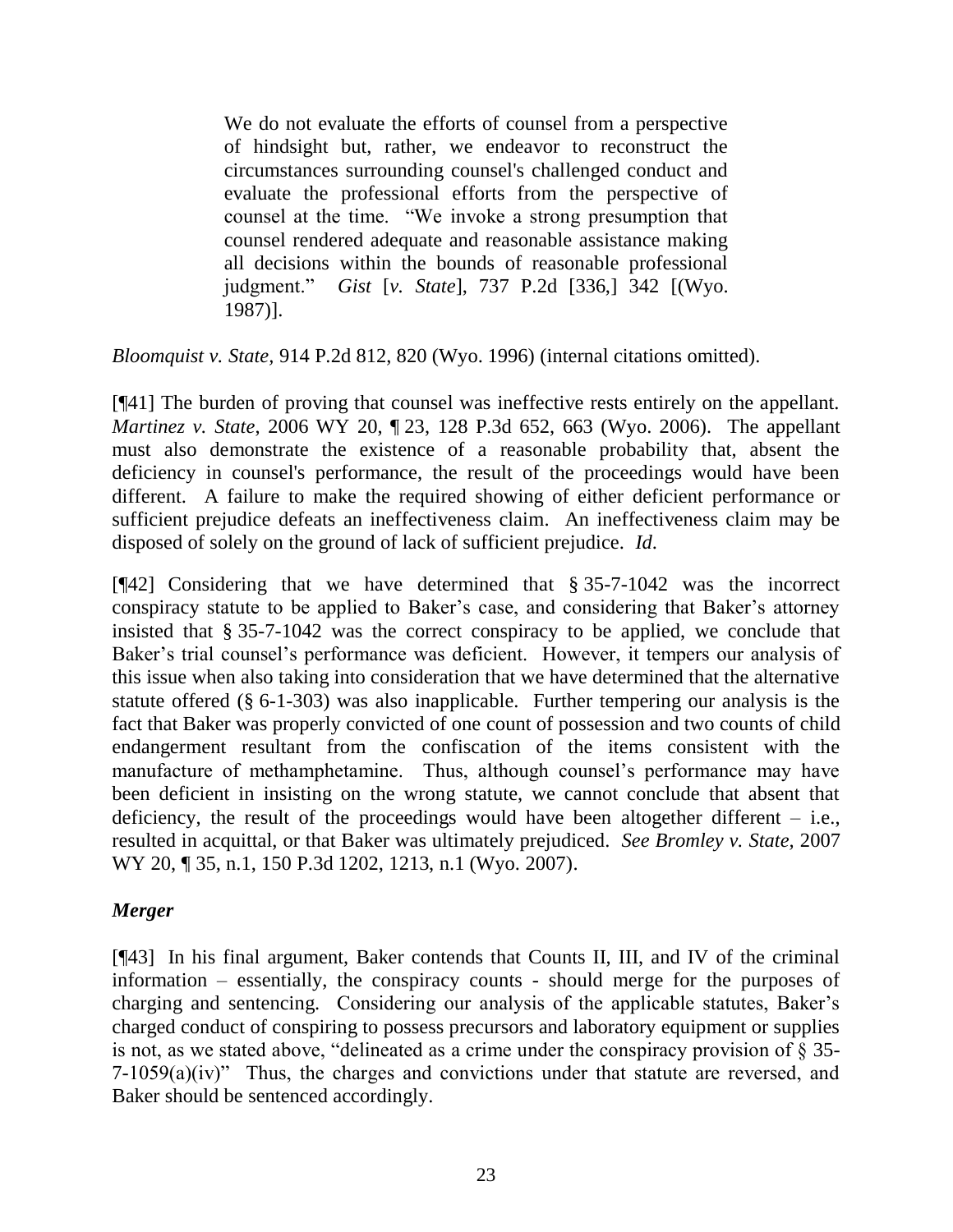We do not evaluate the efforts of counsel from a perspective of hindsight but, rather, we endeavor to reconstruct the circumstances surrounding counsel's challenged conduct and evaluate the professional efforts from the perspective of counsel at the time. "We invoke a strong presumption that counsel rendered adequate and reasonable assistance making all decisions within the bounds of reasonable professional judgment." *Gist* [*v. State*], 737 P.2d [336,] 342 [(Wyo. 1987)].

*Bloomquist v. State,* 914 P.2d 812, 820 (Wyo. 1996) (internal citations omitted).

[¶41] The burden of proving that counsel was ineffective rests entirely on the appellant. *Martinez v. State*, 2006 WY 20, ¶ 23, 128 P.3d 652, 663 (Wyo. 2006). The appellant must also demonstrate the existence of a reasonable probability that, absent the deficiency in counsel's performance, the result of the proceedings would have been different. A failure to make the required showing of either deficient performance or sufficient prejudice defeats an ineffectiveness claim. An ineffectiveness claim may be disposed of solely on the ground of lack of sufficient prejudice. *Id*.

[¶42] Considering that we have determined that § 35-7-1042 was the incorrect conspiracy statute to be applied to Baker's case, and considering that Baker's attorney insisted that § 35-7-1042 was the correct conspiracy to be applied, we conclude that Baker's trial counsel's performance was deficient. However, it tempers our analysis of this issue when also taking into consideration that we have determined that the alternative statute offered (§ 6-1-303) was also inapplicable. Further tempering our analysis is the fact that Baker was properly convicted of one count of possession and two counts of child endangerment resultant from the confiscation of the items consistent with the manufacture of methamphetamine. Thus, although counsel's performance may have been deficient in insisting on the wrong statute, we cannot conclude that absent that deficiency, the result of the proceedings would have been altogether different  $-$  i.e., resulted in acquittal, or that Baker was ultimately prejudiced. *See Bromley v. State,* 2007 WY 20, ¶ 35, n.1, 150 P.3d 1202, 1213, n.1 (Wyo. 2007).

# *Merger*

[¶43] In his final argument, Baker contends that Counts II, III, and IV of the criminal information – essentially, the conspiracy counts - should merge for the purposes of charging and sentencing. Considering our analysis of the applicable statutes, Baker"s charged conduct of conspiring to possess precursors and laboratory equipment or supplies is not, as we stated above, "delineated as a crime under the conspiracy provision of § 35- 7-1059(a)(iv)" Thus, the charges and convictions under that statute are reversed, and Baker should be sentenced accordingly.